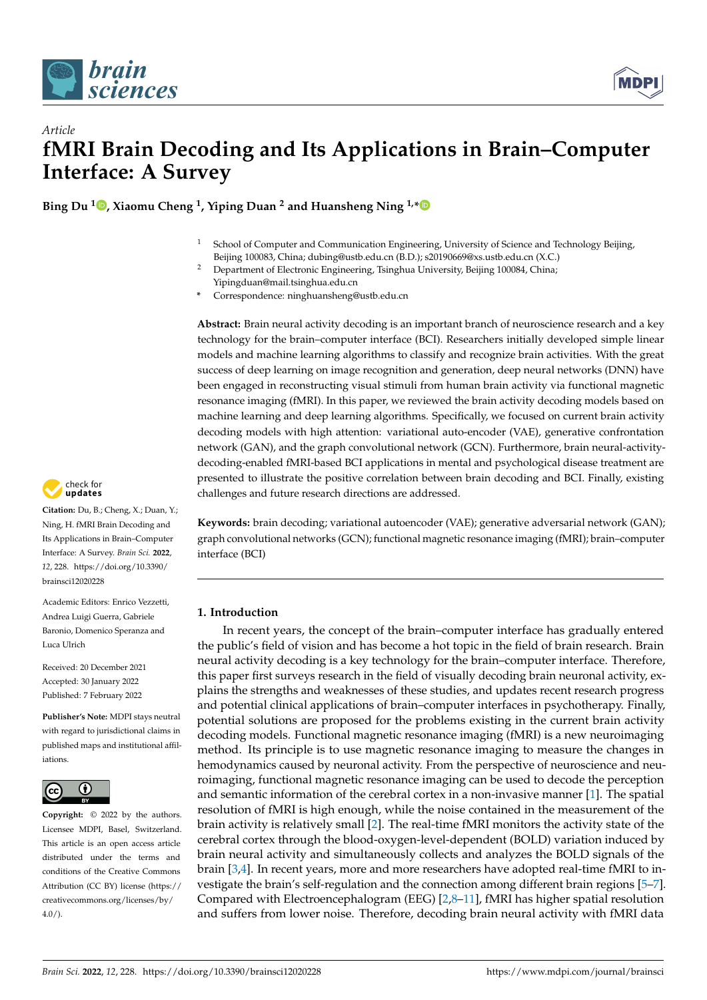



# *Article* **fMRI Brain Decoding and Its Applications in Brain–Computer Interface: A Survey**

**Bing Du <sup>1</sup> [,](https://orcid.org/0000-0002-4081-6368) Xiaomu Cheng <sup>1</sup> , Yiping Duan <sup>2</sup> and Huansheng Ning 1,[\\*](https://orcid.org/0000-0001-6413-193X)**

- <sup>1</sup> School of Computer and Communication Engineering, University of Science and Technology Beijing, Beijing 100083, China; dubing@ustb.edu.cn (B.D.); s20190669@xs.ustb.edu.cn (X.C.)
- <sup>2</sup> Department of Electronic Engineering, Tsinghua University, Beijing 100084, China; Yipingduan@mail.tsinghua.edu.cn
- **\*** Correspondence: ninghuansheng@ustb.edu.cn

**Abstract:** Brain neural activity decoding is an important branch of neuroscience research and a key technology for the brain–computer interface (BCI). Researchers initially developed simple linear models and machine learning algorithms to classify and recognize brain activities. With the great success of deep learning on image recognition and generation, deep neural networks (DNN) have been engaged in reconstructing visual stimuli from human brain activity via functional magnetic resonance imaging (fMRI). In this paper, we reviewed the brain activity decoding models based on machine learning and deep learning algorithms. Specifically, we focused on current brain activity decoding models with high attention: variational auto-encoder (VAE), generative confrontation network (GAN), and the graph convolutional network (GCN). Furthermore, brain neural-activitydecoding-enabled fMRI-based BCI applications in mental and psychological disease treatment are presented to illustrate the positive correlation between brain decoding and BCI. Finally, existing challenges and future research directions are addressed.

**Keywords:** brain decoding; variational autoencoder (VAE); generative adversarial network (GAN); graph convolutional networks (GCN); functional magnetic resonance imaging (fMRI); brain–computer interface (BCI)

# **1. Introduction**

In recent years, the concept of the brain–computer interface has gradually entered the public's field of vision and has become a hot topic in the field of brain research. Brain neural activity decoding is a key technology for the brain–computer interface. Therefore, this paper first surveys research in the field of visually decoding brain neuronal activity, explains the strengths and weaknesses of these studies, and updates recent research progress and potential clinical applications of brain–computer interfaces in psychotherapy. Finally, potential solutions are proposed for the problems existing in the current brain activity decoding models. Functional magnetic resonance imaging (fMRI) is a new neuroimaging method. Its principle is to use magnetic resonance imaging to measure the changes in hemodynamics caused by neuronal activity. From the perspective of neuroscience and neuroimaging, functional magnetic resonance imaging can be used to decode the perception and semantic information of the cerebral cortex in a non-invasive manner [\[1\]](#page-18-0). The spatial resolution of fMRI is high enough, while the noise contained in the measurement of the brain activity is relatively small [\[2\]](#page-18-1). The real-time fMRI monitors the activity state of the cerebral cortex through the blood-oxygen-level-dependent (BOLD) variation induced by brain neural activity and simultaneously collects and analyzes the BOLD signals of the brain [\[3](#page-18-2)[,4\]](#page-18-3). In recent years, more and more researchers have adopted real-time fMRI to investigate the brain's self-regulation and the connection among different brain regions [\[5](#page-18-4)[–7\]](#page-18-5). Compared with Electroencephalogram (EEG) [\[2](#page-18-1)[,8](#page-18-6)[–11\]](#page-18-7), fMRI has higher spatial resolution and suffers from lower noise. Therefore, decoding brain neural activity with fMRI data



**Citation:** Du, B.; Cheng, X.; Duan, Y.; Ning, H. fMRI Brain Decoding and Its Applications in Brain–Computer Interface: A Survey. *Brain Sci.* **2022**, *12*, 228. [https://doi.org/10.3390/](https://doi.org/10.3390/brainsci12020228) [brainsci12020228](https://doi.org/10.3390/brainsci12020228)

Academic Editors: Enrico Vezzetti, Andrea Luigi Guerra, Gabriele Baronio, Domenico Speranza and Luca Ulrich

Received: 20 December 2021 Accepted: 30 January 2022 Published: 7 February 2022

**Publisher's Note:** MDPI stays neutral with regard to jurisdictional claims in published maps and institutional affiliations.



**Copyright:** © 2022 by the authors. Licensee MDPI, Basel, Switzerland. This article is an open access article distributed under the terms and conditions of the Creative Commons Attribution (CC BY) license [\(https://](https://creativecommons.org/licenses/by/4.0/) [creativecommons.org/licenses/by/](https://creativecommons.org/licenses/by/4.0/)  $4.0/$ ).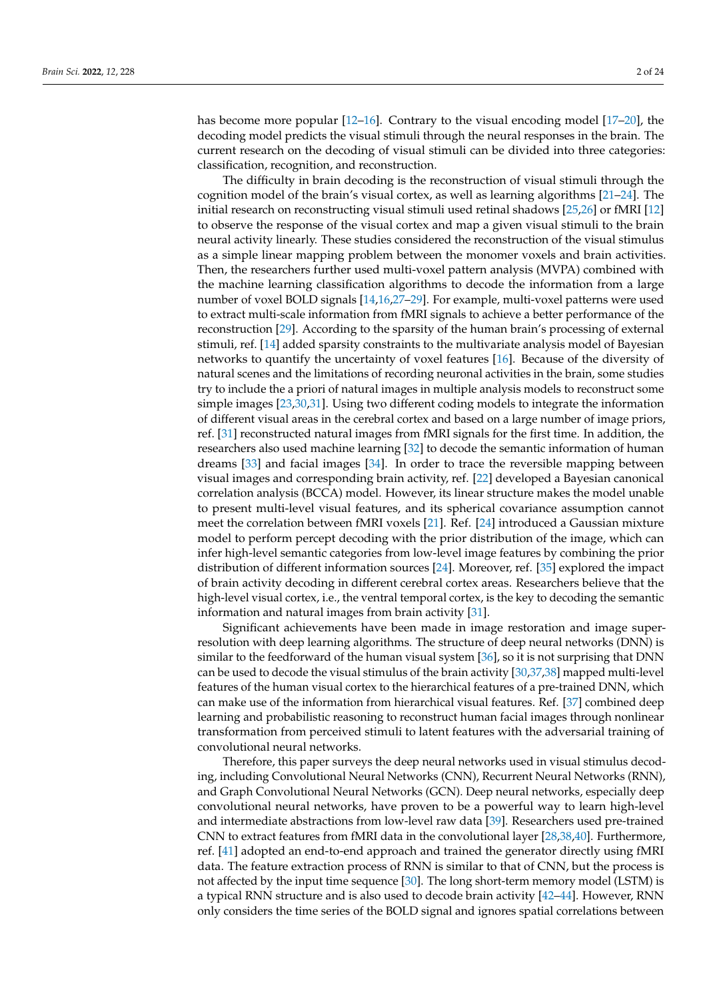has become more popular [\[12](#page-18-8)[–16\]](#page-19-0). Contrary to the visual encoding model [\[17–](#page-19-1)[20\]](#page-19-2), the decoding model predicts the visual stimuli through the neural responses in the brain. The current research on the decoding of visual stimuli can be divided into three categories: classification, recognition, and reconstruction.

The difficulty in brain decoding is the reconstruction of visual stimuli through the cognition model of the brain's visual cortex, as well as learning algorithms [\[21–](#page-19-3)[24\]](#page-19-4). The initial research on reconstructing visual stimuli used retinal shadows [\[25,](#page-19-5)[26\]](#page-19-6) or fMRI [\[12\]](#page-18-8) to observe the response of the visual cortex and map a given visual stimuli to the brain neural activity linearly. These studies considered the reconstruction of the visual stimulus as a simple linear mapping problem between the monomer voxels and brain activities. Then, the researchers further used multi-voxel pattern analysis (MVPA) combined with the machine learning classification algorithms to decode the information from a large number of voxel BOLD signals [\[14,](#page-18-9)[16,](#page-19-0)[27–](#page-19-7)[29\]](#page-19-8). For example, multi-voxel patterns were used to extract multi-scale information from fMRI signals to achieve a better performance of the reconstruction [\[29\]](#page-19-8). According to the sparsity of the human brain's processing of external stimuli, ref. [\[14\]](#page-18-9) added sparsity constraints to the multivariate analysis model of Bayesian networks to quantify the uncertainty of voxel features [\[16\]](#page-19-0). Because of the diversity of natural scenes and the limitations of recording neuronal activities in the brain, some studies try to include the a priori of natural images in multiple analysis models to reconstruct some simple images [\[23](#page-19-9)[,30](#page-19-10)[,31\]](#page-19-11). Using two different coding models to integrate the information of different visual areas in the cerebral cortex and based on a large number of image priors, ref. [\[31\]](#page-19-11) reconstructed natural images from fMRI signals for the first time. In addition, the researchers also used machine learning [\[32\]](#page-19-12) to decode the semantic information of human dreams [\[33\]](#page-19-13) and facial images [\[34\]](#page-19-14). In order to trace the reversible mapping between visual images and corresponding brain activity, ref. [\[22\]](#page-19-15) developed a Bayesian canonical correlation analysis (BCCA) model. However, its linear structure makes the model unable to present multi-level visual features, and its spherical covariance assumption cannot meet the correlation between fMRI voxels [\[21\]](#page-19-3). Ref. [\[24\]](#page-19-4) introduced a Gaussian mixture model to perform percept decoding with the prior distribution of the image, which can infer high-level semantic categories from low-level image features by combining the prior distribution of different information sources [\[24\]](#page-19-4). Moreover, ref. [\[35\]](#page-19-16) explored the impact of brain activity decoding in different cerebral cortex areas. Researchers believe that the high-level visual cortex, i.e., the ventral temporal cortex, is the key to decoding the semantic information and natural images from brain activity [\[31\]](#page-19-11).

Significant achievements have been made in image restoration and image superresolution with deep learning algorithms. The structure of deep neural networks (DNN) is similar to the feedforward of the human visual system [\[36\]](#page-19-17), so it is not surprising that DNN can be used to decode the visual stimulus of the brain activity [\[30](#page-19-10)[,37](#page-19-18)[,38\]](#page-19-19) mapped multi-level features of the human visual cortex to the hierarchical features of a pre-trained DNN, which can make use of the information from hierarchical visual features. Ref. [\[37\]](#page-19-18) combined deep learning and probabilistic reasoning to reconstruct human facial images through nonlinear transformation from perceived stimuli to latent features with the adversarial training of convolutional neural networks.

Therefore, this paper surveys the deep neural networks used in visual stimulus decoding, including Convolutional Neural Networks (CNN), Recurrent Neural Networks (RNN), and Graph Convolutional Neural Networks (GCN). Deep neural networks, especially deep convolutional neural networks, have proven to be a powerful way to learn high-level and intermediate abstractions from low-level raw data [\[39\]](#page-19-20). Researchers used pre-trained CNN to extract features from fMRI data in the convolutional layer [\[28,](#page-19-21)[38,](#page-19-19)[40\]](#page-19-22). Furthermore, ref. [\[41\]](#page-19-23) adopted an end-to-end approach and trained the generator directly using fMRI data. The feature extraction process of RNN is similar to that of CNN, but the process is not affected by the input time sequence [\[30\]](#page-19-10). The long short-term memory model (LSTM) is a typical RNN structure and is also used to decode brain activity [\[42–](#page-19-24)[44\]](#page-20-0). However, RNN only considers the time series of the BOLD signal and ignores spatial correlations between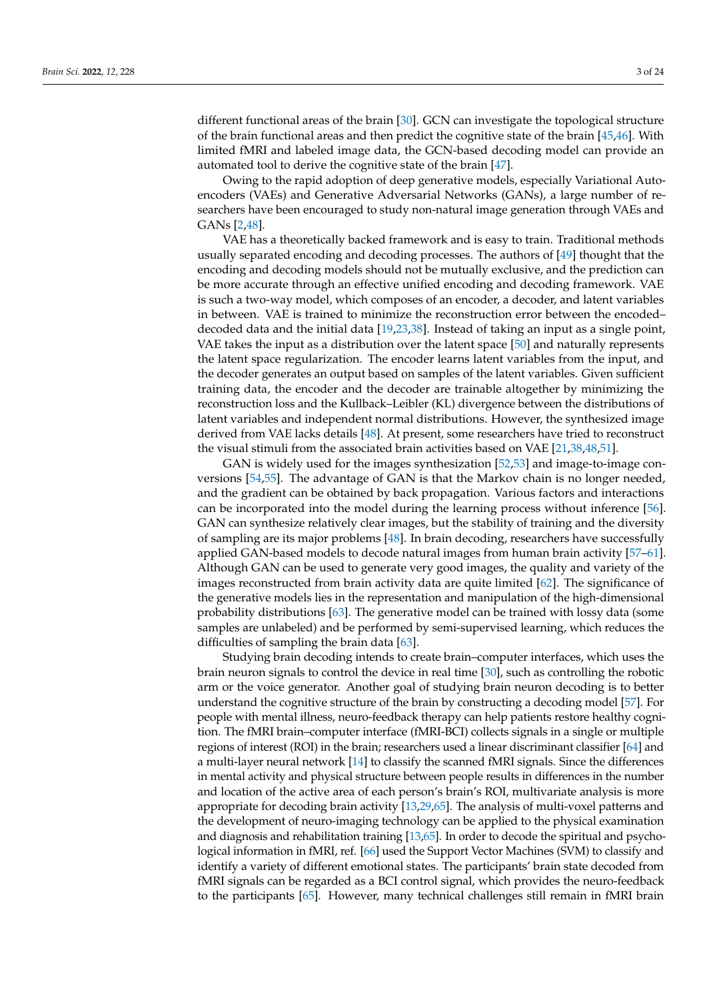different functional areas of the brain [\[30\]](#page-19-10). GCN can investigate the topological structure of the brain functional areas and then predict the cognitive state of the brain [\[45,](#page-20-1)[46\]](#page-20-2). With limited fMRI and labeled image data, the GCN-based decoding model can provide an automated tool to derive the cognitive state of the brain [\[47\]](#page-20-3).

Owing to the rapid adoption of deep generative models, especially Variational Autoencoders (VAEs) and Generative Adversarial Networks (GANs), a large number of researchers have been encouraged to study non-natural image generation through VAEs and GANs [\[2,](#page-18-1)[48\]](#page-20-4).

VAE has a theoretically backed framework and is easy to train. Traditional methods usually separated encoding and decoding processes. The authors of [\[49\]](#page-20-5) thought that the encoding and decoding models should not be mutually exclusive, and the prediction can be more accurate through an effective unified encoding and decoding framework. VAE is such a two-way model, which composes of an encoder, a decoder, and latent variables in between. VAE is trained to minimize the reconstruction error between the encoded– decoded data and the initial data [\[19,](#page-19-25)[23,](#page-19-9)[38\]](#page-19-19). Instead of taking an input as a single point, VAE takes the input as a distribution over the latent space [\[50\]](#page-20-6) and naturally represents the latent space regularization. The encoder learns latent variables from the input, and the decoder generates an output based on samples of the latent variables. Given sufficient training data, the encoder and the decoder are trainable altogether by minimizing the reconstruction loss and the Kullback–Leibler (KL) divergence between the distributions of latent variables and independent normal distributions. However, the synthesized image derived from VAE lacks details [\[48\]](#page-20-4). At present, some researchers have tried to reconstruct the visual stimuli from the associated brain activities based on VAE [\[21](#page-19-3)[,38](#page-19-19)[,48](#page-20-4)[,51\]](#page-20-7).

GAN is widely used for the images synthesization [\[52](#page-20-8)[,53\]](#page-20-9) and image-to-image conversions [\[54](#page-20-10)[,55\]](#page-20-11). The advantage of GAN is that the Markov chain is no longer needed, and the gradient can be obtained by back propagation. Various factors and interactions can be incorporated into the model during the learning process without inference [\[56\]](#page-20-12). GAN can synthesize relatively clear images, but the stability of training and the diversity of sampling are its major problems [\[48\]](#page-20-4). In brain decoding, researchers have successfully applied GAN-based models to decode natural images from human brain activity [\[57](#page-20-13)[–61\]](#page-20-14). Although GAN can be used to generate very good images, the quality and variety of the images reconstructed from brain activity data are quite limited [\[62\]](#page-20-15). The significance of the generative models lies in the representation and manipulation of the high-dimensional probability distributions [\[63\]](#page-20-16). The generative model can be trained with lossy data (some samples are unlabeled) and be performed by semi-supervised learning, which reduces the difficulties of sampling the brain data [\[63\]](#page-20-16).

Studying brain decoding intends to create brain–computer interfaces, which uses the brain neuron signals to control the device in real time [\[30\]](#page-19-10), such as controlling the robotic arm or the voice generator. Another goal of studying brain neuron decoding is to better understand the cognitive structure of the brain by constructing a decoding model [\[57\]](#page-20-13). For people with mental illness, neuro-feedback therapy can help patients restore healthy cognition. The fMRI brain–computer interface (fMRI-BCI) collects signals in a single or multiple regions of interest (ROI) in the brain; researchers used a linear discriminant classifier [\[64\]](#page-20-17) and a multi-layer neural network [\[14\]](#page-18-9) to classify the scanned fMRI signals. Since the differences in mental activity and physical structure between people results in differences in the number and location of the active area of each person's brain's ROI, multivariate analysis is more appropriate for decoding brain activity [\[13,](#page-18-10)[29,](#page-19-8)[65\]](#page-20-18). The analysis of multi-voxel patterns and the development of neuro-imaging technology can be applied to the physical examination and diagnosis and rehabilitation training [\[13](#page-18-10)[,65\]](#page-20-18). In order to decode the spiritual and psychological information in fMRI, ref. [\[66\]](#page-20-19) used the Support Vector Machines (SVM) to classify and identify a variety of different emotional states. The participants' brain state decoded from fMRI signals can be regarded as a BCI control signal, which provides the neuro-feedback to the participants [\[65\]](#page-20-18). However, many technical challenges still remain in fMRI brain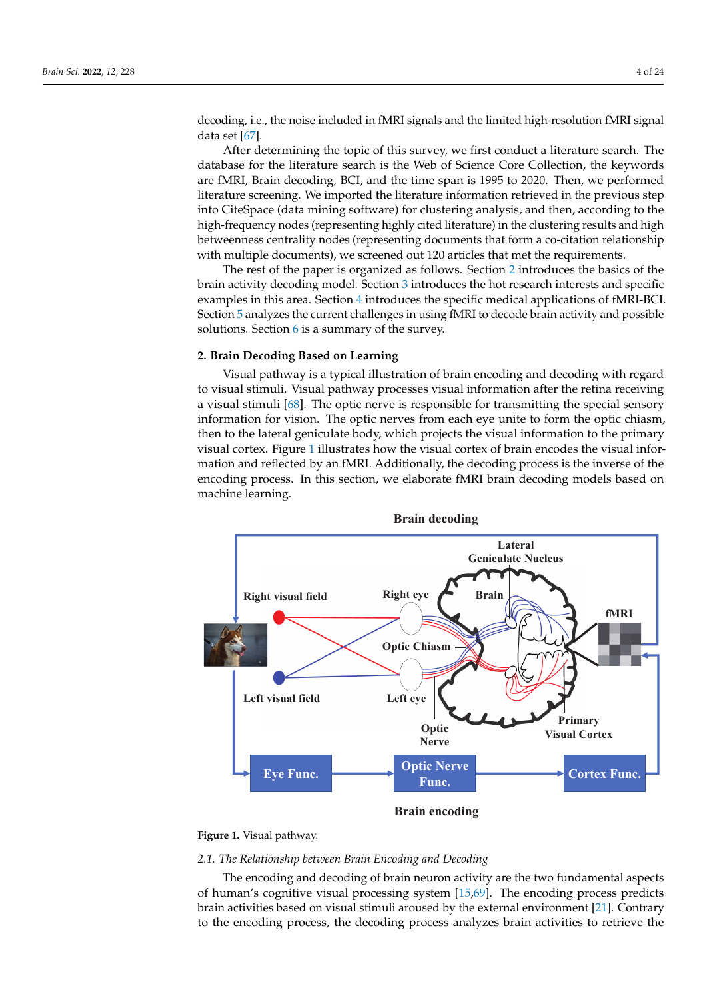decoding, i.e., the noise included in fMRI signals and the limited high-resolution fMRI signal data set [\[67\]](#page-20-20).

After determining the topic of this survey, we first conduct a literature search. The database for the literature search is the Web of Science Core Collection, the keywords are fMRI, Brain decoding, BCI, and the time span is 1995 to 2020. Then, we performed literature screening. We imported the literature information retrieved in the previous step into CiteSpace (data mining software) for clustering analysis, and then, according to the high-frequency nodes (representing highly cited literature) in the clustering results and high betweenness centrality nodes (representing documents that form a co-citation relationship with multiple documents), we screened out 120 articles that met the requirements.

The rest of the paper is organized as follows. Section [2](#page-3-0) introduces the basics of the brain activity decoding model. Section [3](#page-9-0) introduces the hot research interests and specific examples in this area. Section [4](#page-13-0) introduces the specific medical applications of fMRI-BCI. Section [5](#page-15-0) analyzes the current challenges in using fMRI to decode brain activity and possible solutions. Section [6](#page-18-11) is a summary of the survey.

# <span id="page-3-0"></span>**2. Brain Decoding Based on Learning**

Visual pathway is a typical illustration of brain encoding and decoding with regard to visual stimuli. Visual pathway processes visual information after the retina receiving a visual stimuli [\[68\]](#page-20-21). The optic nerve is responsible for transmitting the special sensory information for vision. The optic nerves from each eye unite to form the optic chiasm, then to the lateral geniculate body, which projects the visual information to the primary visual cortex. Figure [1](#page-3-1) illustrates how the visual cortex of brain encodes the visual information and reflected by an fMRI. Additionally, the decoding process is the inverse of the encoding process. In this section, we elaborate fMRI brain decoding models based on machine learning.

<span id="page-3-1"></span>

**Figure 1.** Visual pathway.

#### *2.1. The Relationship between Brain Encoding and Decoding*

The encoding and decoding of brain neuron activity are the two fundamental aspects of human's cognitive visual processing system [\[15](#page-18-12)[,69\]](#page-20-22). The encoding process predicts brain activities based on visual stimuli aroused by the external environment [\[21\]](#page-19-3). Contrary to the encoding process, the decoding process analyzes brain activities to retrieve the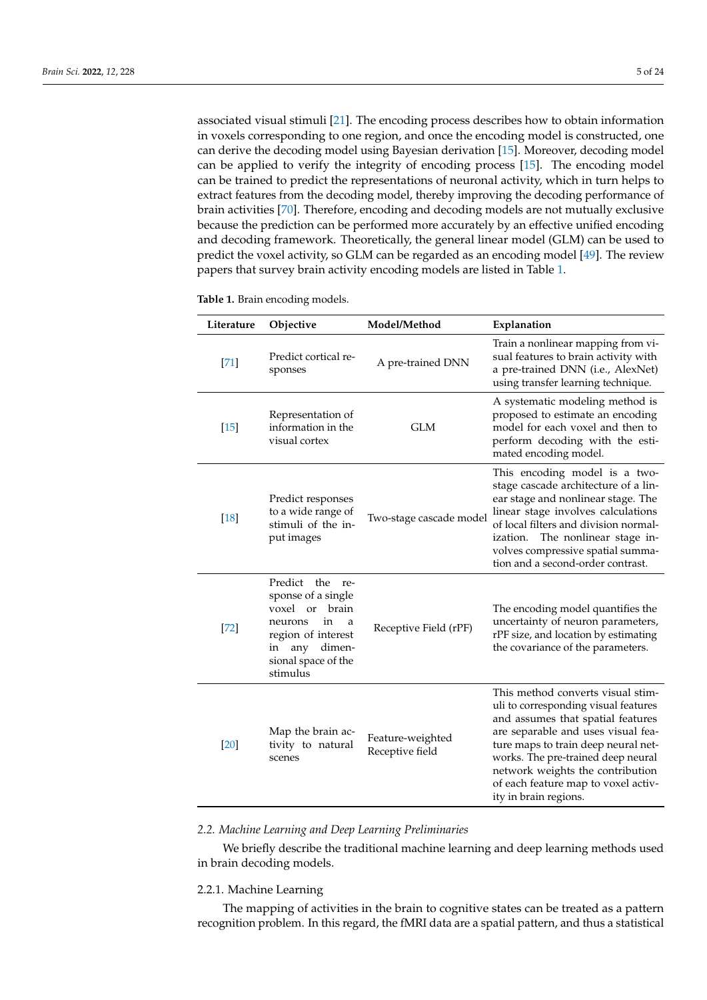associated visual stimuli [\[21\]](#page-19-3). The encoding process describes how to obtain information in voxels corresponding to one region, and once the encoding model is constructed, one can derive the decoding model using Bayesian derivation [\[15\]](#page-18-12). Moreover, decoding model can be applied to verify the integrity of encoding process [\[15\]](#page-18-12). The encoding model can be trained to predict the representations of neuronal activity, which in turn helps to extract features from the decoding model, thereby improving the decoding performance of brain activities [\[70\]](#page-20-23). Therefore, encoding and decoding models are not mutually exclusive because the prediction can be performed more accurately by an effective unified encoding and decoding framework. Theoretically, the general linear model (GLM) can be used to predict the voxel activity, so GLM can be regarded as an encoding model [\[49\]](#page-20-5). The review papers that survey brain activity encoding models are listed in Table [1.](#page-4-0)

<span id="page-4-0"></span>

|  |  |  | Table 1. Brain encoding models. |  |
|--|--|--|---------------------------------|--|
|--|--|--|---------------------------------|--|

| Literature | Objective                                                                                                                                               | Model/Method                        | Explanation                                                                                                                                                                                                                                                                                                                           |
|------------|---------------------------------------------------------------------------------------------------------------------------------------------------------|-------------------------------------|---------------------------------------------------------------------------------------------------------------------------------------------------------------------------------------------------------------------------------------------------------------------------------------------------------------------------------------|
| $[71]$     | Predict cortical re-<br>sponses                                                                                                                         | A pre-trained DNN                   | Train a nonlinear mapping from vi-<br>sual features to brain activity with<br>a pre-trained DNN (i.e., AlexNet)<br>using transfer learning technique.                                                                                                                                                                                 |
| $[15]$     | Representation of<br>information in the<br>visual cortex                                                                                                | <b>GLM</b>                          | A systematic modeling method is<br>proposed to estimate an encoding<br>model for each voxel and then to<br>perform decoding with the esti-<br>mated encoding model.                                                                                                                                                                   |
| $[18]$     | Predict responses<br>to a wide range of<br>stimuli of the in-<br>put images                                                                             | Two-stage cascade model             | This encoding model is a two-<br>stage cascade architecture of a lin-<br>ear stage and nonlinear stage. The<br>linear stage involves calculations<br>of local filters and division normal-<br>The nonlinear stage in-<br>ization.<br>volves compressive spatial summa-<br>tion and a second-order contrast.                           |
| $[72]$     | Predict the re-<br>sponse of a single<br>voxel or brain<br>in<br>neurons<br>a<br>region of interest<br>in any dimen-<br>sional space of the<br>stimulus | Receptive Field (rPF)               | The encoding model quantifies the<br>uncertainty of neuron parameters,<br>rPF size, and location by estimating<br>the covariance of the parameters.                                                                                                                                                                                   |
| $[20]$     | Map the brain ac-<br>tivity to natural<br>scenes                                                                                                        | Feature-weighted<br>Receptive field | This method converts visual stim-<br>uli to corresponding visual features<br>and assumes that spatial features<br>are separable and uses visual fea-<br>ture maps to train deep neural net-<br>works. The pre-trained deep neural<br>network weights the contribution<br>of each feature map to voxel activ-<br>ity in brain regions. |

*2.2. Machine Learning and Deep Learning Preliminaries*

We briefly describe the traditional machine learning and deep learning methods used in brain decoding models.

# 2.2.1. Machine Learning

The mapping of activities in the brain to cognitive states can be treated as a pattern recognition problem. In this regard, the fMRI data are a spatial pattern, and thus a statistical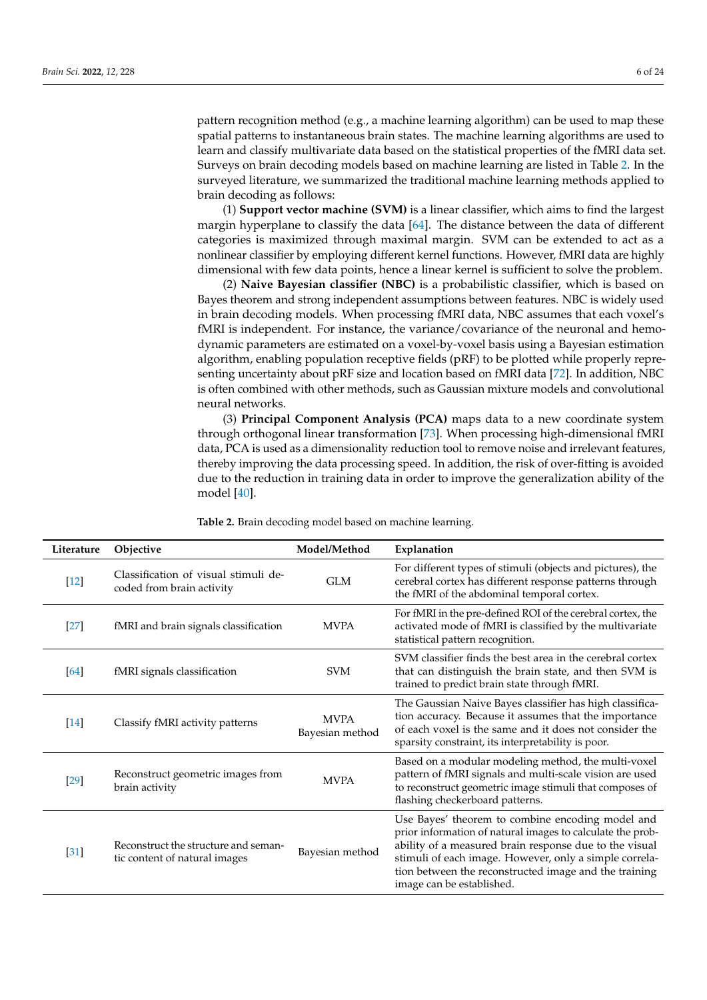pattern recognition method (e.g., a machine learning algorithm) can be used to map these spatial patterns to instantaneous brain states. The machine learning algorithms are used to learn and classify multivariate data based on the statistical properties of the fMRI data set. Surveys on brain decoding models based on machine learning are listed in Table [2.](#page-6-0) In the surveyed literature, we summarized the traditional machine learning methods applied to brain decoding as follows:

(1) **Support vector machine (SVM)** is a linear classifier, which aims to find the largest margin hyperplane to classify the data [\[64\]](#page-20-17). The distance between the data of different categories is maximized through maximal margin. SVM can be extended to act as a nonlinear classifier by employing different kernel functions. However, fMRI data are highly dimensional with few data points, hence a linear kernel is sufficient to solve the problem.

(2) **Naive Bayesian classifier (NBC)** is a probabilistic classifier, which is based on Bayes theorem and strong independent assumptions between features. NBC is widely used in brain decoding models. When processing fMRI data, NBC assumes that each voxel's fMRI is independent. For instance, the variance/covariance of the neuronal and hemodynamic parameters are estimated on a voxel-by-voxel basis using a Bayesian estimation algorithm, enabling population receptive fields (pRF) to be plotted while properly representing uncertainty about pRF size and location based on fMRI data [\[72\]](#page-21-1). In addition, NBC is often combined with other methods, such as Gaussian mixture models and convolutional neural networks.

(3) **Principal Component Analysis (PCA)** maps data to a new coordinate system through orthogonal linear transformation [\[73\]](#page-21-2). When processing high-dimensional fMRI data, PCA is used as a dimensionality reduction tool to remove noise and irrelevant features, thereby improving the data processing speed. In addition, the risk of over-fitting is avoided due to the reduction in training data in order to improve the generalization ability of the model [\[40\]](#page-19-22).

| Literature | Objective                                                             | Model/Method                   | Explanation                                                                                                                                                                                                                                                                                                              |
|------------|-----------------------------------------------------------------------|--------------------------------|--------------------------------------------------------------------------------------------------------------------------------------------------------------------------------------------------------------------------------------------------------------------------------------------------------------------------|
| $[12]$     | Classification of visual stimuli de-<br>coded from brain activity     | <b>GLM</b>                     | For different types of stimuli (objects and pictures), the<br>cerebral cortex has different response patterns through<br>the fMRI of the abdominal temporal cortex.                                                                                                                                                      |
| $[27]$     | fMRI and brain signals classification                                 | <b>MVPA</b>                    | For fMRI in the pre-defined ROI of the cerebral cortex, the<br>activated mode of fMRI is classified by the multivariate<br>statistical pattern recognition.                                                                                                                                                              |
| [64]       | fMRI signals classification                                           | <b>SVM</b>                     | SVM classifier finds the best area in the cerebral cortex<br>that can distinguish the brain state, and then SVM is<br>trained to predict brain state through fMRI.                                                                                                                                                       |
| $[14]$     | Classify fMRI activity patterns                                       | <b>MVPA</b><br>Bayesian method | The Gaussian Naive Bayes classifier has high classifica-<br>tion accuracy. Because it assumes that the importance<br>of each voxel is the same and it does not consider the<br>sparsity constraint, its interpretability is poor.                                                                                        |
| $[29]$     | Reconstruct geometric images from<br>brain activity                   | <b>MVPA</b>                    | Based on a modular modeling method, the multi-voxel<br>pattern of fMRI signals and multi-scale vision are used<br>to reconstruct geometric image stimuli that composes of<br>flashing checkerboard patterns.                                                                                                             |
| $[31]$     | Reconstruct the structure and seman-<br>tic content of natural images | Bayesian method                | Use Bayes' theorem to combine encoding model and<br>prior information of natural images to calculate the prob-<br>ability of a measured brain response due to the visual<br>stimuli of each image. However, only a simple correla-<br>tion between the reconstructed image and the training<br>image can be established. |

**Table 2.** Brain decoding model based on machine learning.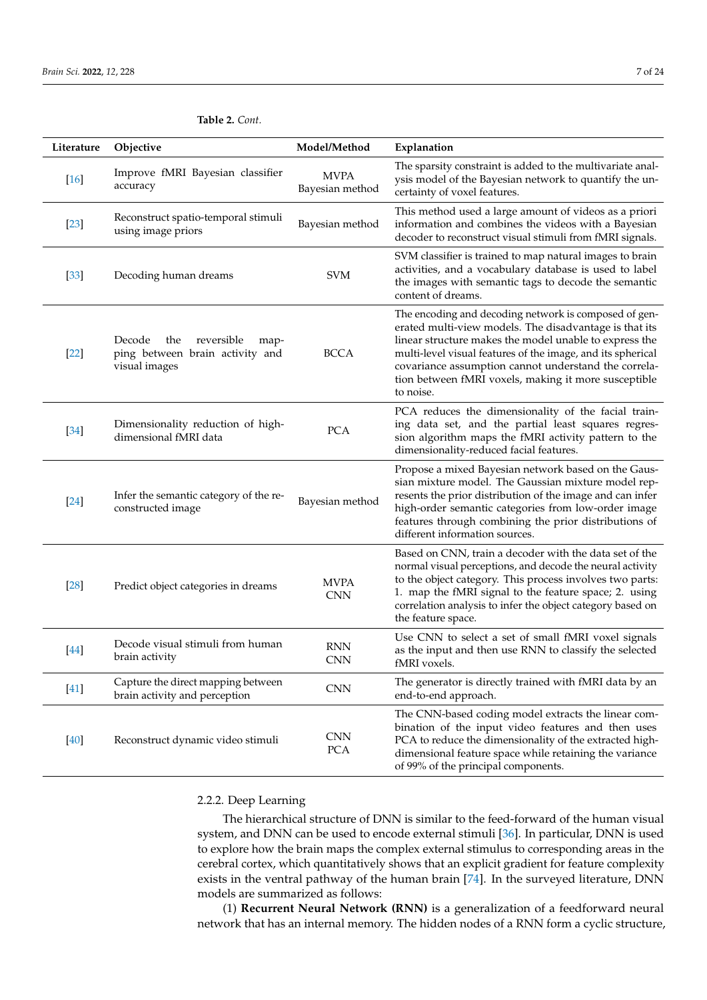| Literature | Objective                                                                               | Model/Method                   | Explanation                                                                                                                                                                                                                                                                                                                                                           |
|------------|-----------------------------------------------------------------------------------------|--------------------------------|-----------------------------------------------------------------------------------------------------------------------------------------------------------------------------------------------------------------------------------------------------------------------------------------------------------------------------------------------------------------------|
| $[16]$     | Improve fMRI Bayesian classifier<br>accuracy                                            | <b>MVPA</b><br>Bayesian method | The sparsity constraint is added to the multivariate anal-<br>ysis model of the Bayesian network to quantify the un-<br>certainty of voxel features.                                                                                                                                                                                                                  |
| $[23]$     | Reconstruct spatio-temporal stimuli<br>using image priors                               | Bayesian method                | This method used a large amount of videos as a priori<br>information and combines the videos with a Bayesian<br>decoder to reconstruct visual stimuli from fMRI signals.                                                                                                                                                                                              |
| $[33]$     | Decoding human dreams                                                                   | <b>SVM</b>                     | SVM classifier is trained to map natural images to brain<br>activities, and a vocabulary database is used to label<br>the images with semantic tags to decode the semantic<br>content of dreams.                                                                                                                                                                      |
| $[22]$     | Decode<br>reversible<br>the<br>map-<br>ping between brain activity and<br>visual images | <b>BCCA</b>                    | The encoding and decoding network is composed of gen-<br>erated multi-view models. The disadvantage is that its<br>linear structure makes the model unable to express the<br>multi-level visual features of the image, and its spherical<br>covariance assumption cannot understand the correla-<br>tion between fMRI voxels, making it more susceptible<br>to noise. |
| $[34]$     | Dimensionality reduction of high-<br>dimensional fMRI data                              | <b>PCA</b>                     | PCA reduces the dimensionality of the facial train-<br>ing data set, and the partial least squares regres-<br>sion algorithm maps the fMRI activity pattern to the<br>dimensionality-reduced facial features.                                                                                                                                                         |
| $[24]$     | Infer the semantic category of the re-<br>constructed image                             | Bayesian method                | Propose a mixed Bayesian network based on the Gaus-<br>sian mixture model. The Gaussian mixture model rep-<br>resents the prior distribution of the image and can infer<br>high-order semantic categories from low-order image<br>features through combining the prior distributions of<br>different information sources.                                             |
| $[28]$     | Predict object categories in dreams                                                     | <b>MVPA</b><br><b>CNN</b>      | Based on CNN, train a decoder with the data set of the<br>normal visual perceptions, and decode the neural activity<br>to the object category. This process involves two parts:<br>1. map the fMRI signal to the feature space; 2. using<br>correlation analysis to infer the object category based on<br>the feature space.                                          |
| [44]       | Decode visual stimuli from human<br>brain activity                                      | <b>RNN</b><br><b>CNN</b>       | Use CNN to select a set of small fMRI voxel signals<br>as the input and then use RNN to classify the selected<br>fMRI voxels.                                                                                                                                                                                                                                         |
| [41]       | Capture the direct mapping between<br>brain activity and perception                     | <b>CNN</b>                     | The generator is directly trained with fMRI data by an<br>end-to-end approach.                                                                                                                                                                                                                                                                                        |
| $[40]$     | Reconstruct dynamic video stimuli                                                       | <b>CNN</b><br>PCA              | The CNN-based coding model extracts the linear com-<br>bination of the input video features and then uses<br>PCA to reduce the dimensionality of the extracted high-<br>dimensional feature space while retaining the variance<br>of 99% of the principal components.                                                                                                 |

# <span id="page-6-0"></span>**Table 2.** *Cont.*

## 2.2.2. Deep Learning

The hierarchical structure of DNN is similar to the feed-forward of the human visual system, and DNN can be used to encode external stimuli [\[36\]](#page-19-17). In particular, DNN is used to explore how the brain maps the complex external stimulus to corresponding areas in the cerebral cortex, which quantitatively shows that an explicit gradient for feature complexity exists in the ventral pathway of the human brain [\[74\]](#page-21-3). In the surveyed literature, DNN models are summarized as follows:

(1) **Recurrent Neural Network (RNN)** is a generalization of a feedforward neural network that has an internal memory. The hidden nodes of a RNN form a cyclic structure,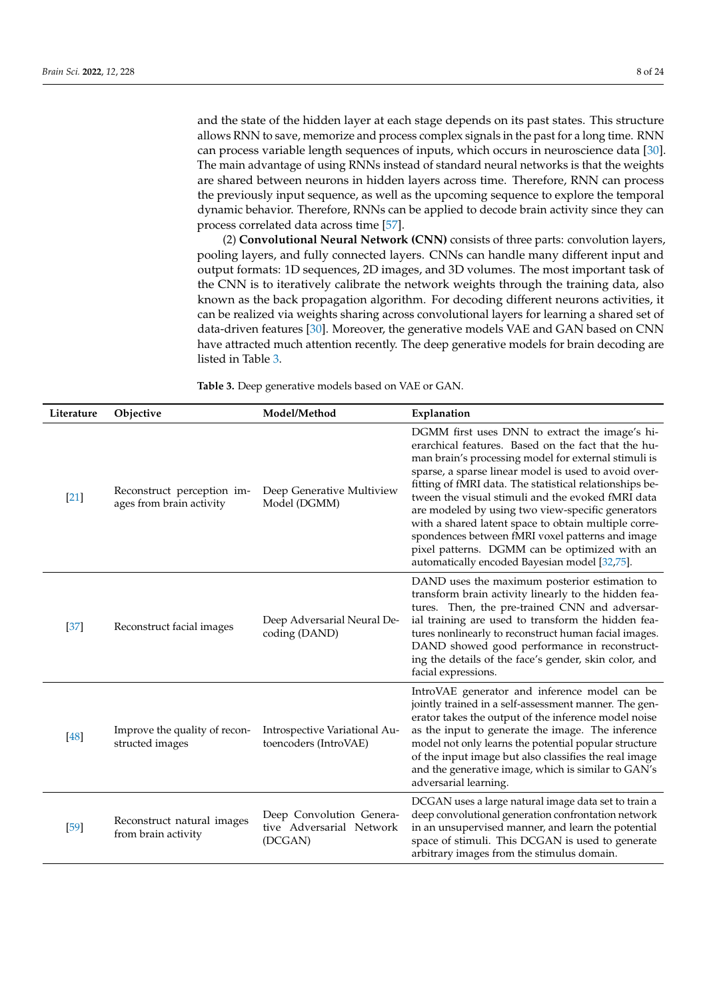and the state of the hidden layer at each stage depends on its past states. This structure allows RNN to save, memorize and process complex signals in the past for a long time. RNN can process variable length sequences of inputs, which occurs in neuroscience data [\[30\]](#page-19-10). The main advantage of using RNNs instead of standard neural networks is that the weights are shared between neurons in hidden layers across time. Therefore, RNN can process the previously input sequence, as well as the upcoming sequence to explore the temporal dynamic behavior. Therefore, RNNs can be applied to decode brain activity since they can process correlated data across time [\[57\]](#page-20-13).

(2) **Convolutional Neural Network (CNN)** consists of three parts: convolution layers, pooling layers, and fully connected layers. CNNs can handle many different input and output formats: 1D sequences, 2D images, and 3D volumes. The most important task of the CNN is to iteratively calibrate the network weights through the training data, also known as the back propagation algorithm. For decoding different neurons activities, it can be realized via weights sharing across convolutional layers for learning a shared set of data-driven features [\[30\]](#page-19-10). Moreover, the generative models VAE and GAN based on CNN have attracted much attention recently. The deep generative models for brain decoding are listed in Table [3.](#page-8-0)

**Table 3.** Deep generative models based on VAE or GAN.

| Literature | Objective                                              | Model/Method                                                    | Explanation                                                                                                                                                                                                                                                                                                                                                                                                                                                                                                                                                                                              |
|------------|--------------------------------------------------------|-----------------------------------------------------------------|----------------------------------------------------------------------------------------------------------------------------------------------------------------------------------------------------------------------------------------------------------------------------------------------------------------------------------------------------------------------------------------------------------------------------------------------------------------------------------------------------------------------------------------------------------------------------------------------------------|
| $[21]$     | Reconstruct perception im-<br>ages from brain activity | Deep Generative Multiview<br>Model (DGMM)                       | DGMM first uses DNN to extract the image's hi-<br>erarchical features. Based on the fact that the hu-<br>man brain's processing model for external stimuli is<br>sparse, a sparse linear model is used to avoid over-<br>fitting of fMRI data. The statistical relationships be-<br>tween the visual stimuli and the evoked fMRI data<br>are modeled by using two view-specific generators<br>with a shared latent space to obtain multiple corre-<br>spondences between fMRI voxel patterns and image<br>pixel patterns. DGMM can be optimized with an<br>automatically encoded Bayesian model [32,75]. |
| $[37]$     | Reconstruct facial images                              | Deep Adversarial Neural De-<br>coding (DAND)                    | DAND uses the maximum posterior estimation to<br>transform brain activity linearly to the hidden fea-<br>tures. Then, the pre-trained CNN and adversar-<br>ial training are used to transform the hidden fea-<br>tures nonlinearly to reconstruct human facial images.<br>DAND showed good performance in reconstruct-<br>ing the details of the face's gender, skin color, and<br>facial expressions.                                                                                                                                                                                                   |
| [48]       | Improve the quality of recon-<br>structed images       | Introspective Variational Au-<br>toencoders (IntroVAE)          | IntroVAE generator and inference model can be<br>jointly trained in a self-assessment manner. The gen-<br>erator takes the output of the inference model noise<br>as the input to generate the image. The inference<br>model not only learns the potential popular structure<br>of the input image but also classifies the real image<br>and the generative image, which is similar to GAN's<br>adversarial learning.                                                                                                                                                                                    |
| [59]       | Reconstruct natural images<br>from brain activity      | Deep Convolution Genera-<br>tive Adversarial Network<br>(DCGAN) | DCGAN uses a large natural image data set to train a<br>deep convolutional generation confrontation network<br>in an unsupervised manner, and learn the potential<br>space of stimuli. This DCGAN is used to generate<br>arbitrary images from the stimulus domain.                                                                                                                                                                                                                                                                                                                                      |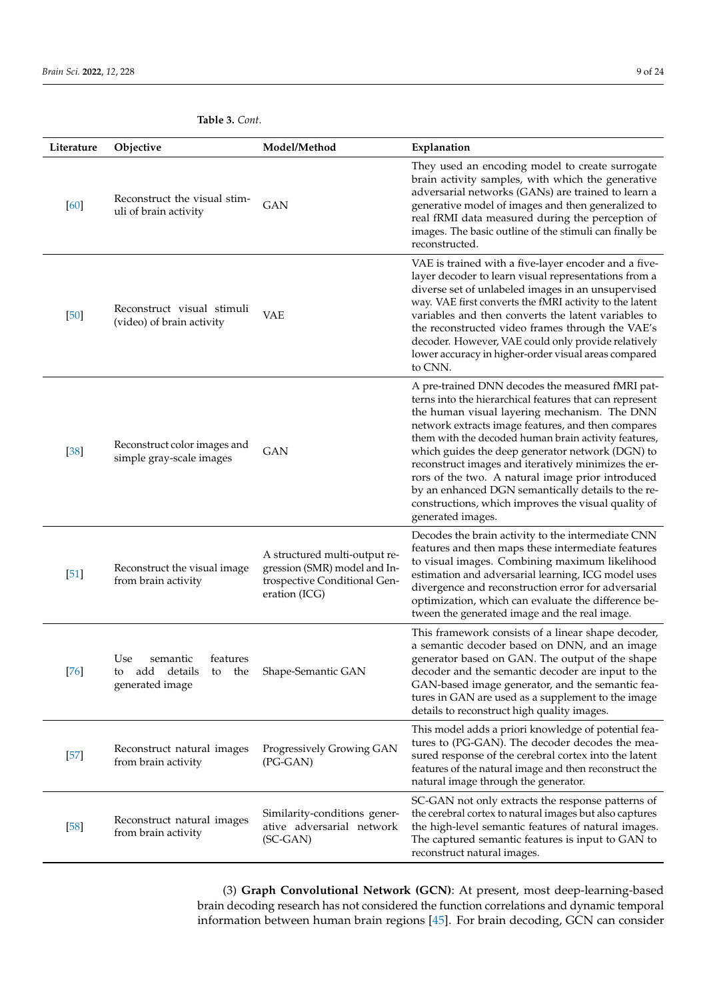| Literature | Objective                                                                        | Model/Method                                                                                                   | Explanation                                                                                                                                                                                                                                                                                                                                                                                                                                                                                                                                                                  |
|------------|----------------------------------------------------------------------------------|----------------------------------------------------------------------------------------------------------------|------------------------------------------------------------------------------------------------------------------------------------------------------------------------------------------------------------------------------------------------------------------------------------------------------------------------------------------------------------------------------------------------------------------------------------------------------------------------------------------------------------------------------------------------------------------------------|
| [60]       | Reconstruct the visual stim-<br>uli of brain activity                            | <b>GAN</b>                                                                                                     | They used an encoding model to create surrogate<br>brain activity samples, with which the generative<br>adversarial networks (GANs) are trained to learn a<br>generative model of images and then generalized to<br>real fRMI data measured during the perception of<br>images. The basic outline of the stimuli can finally be<br>reconstructed.                                                                                                                                                                                                                            |
| $[50]$     | Reconstruct visual stimuli<br>(video) of brain activity                          | <b>VAE</b>                                                                                                     | VAE is trained with a five-layer encoder and a five-<br>layer decoder to learn visual representations from a<br>diverse set of unlabeled images in an unsupervised<br>way. VAE first converts the fMRI activity to the latent<br>variables and then converts the latent variables to<br>the reconstructed video frames through the VAE's<br>decoder. However, VAE could only provide relatively<br>lower accuracy in higher-order visual areas compared<br>to CNN.                                                                                                           |
| $[38]$     | Reconstruct color images and<br>simple gray-scale images                         | GAN                                                                                                            | A pre-trained DNN decodes the measured fMRI pat-<br>terns into the hierarchical features that can represent<br>the human visual layering mechanism. The DNN<br>network extracts image features, and then compares<br>them with the decoded human brain activity features,<br>which guides the deep generator network (DGN) to<br>reconstruct images and iteratively minimizes the er-<br>rors of the two. A natural image prior introduced<br>by an enhanced DGN semantically details to the re-<br>constructions, which improves the visual quality of<br>generated images. |
| $[51]$     | Reconstruct the visual image<br>from brain activity                              | A structured multi-output re-<br>gression (SMR) model and In-<br>trospective Conditional Gen-<br>eration (ICG) | Decodes the brain activity to the intermediate CNN<br>features and then maps these intermediate features<br>to visual images. Combining maximum likelihood<br>estimation and adversarial learning, ICG model uses<br>divergence and reconstruction error for adversarial<br>optimization, which can evaluate the difference be-<br>tween the generated image and the real image.                                                                                                                                                                                             |
| $[76]$     | Use<br>semantic<br>features<br>add details<br>the<br>to<br>to<br>generated image | Shape-Semantic GAN                                                                                             | This framework consists of a linear shape decoder,<br>a semantic decoder based on DNN, and an image<br>generator based on GAN. The output of the shape<br>decoder and the semantic decoder are input to the<br>GAN-based image generator, and the semantic fea-<br>tures in GAN are used as a supplement to the image<br>details to reconstruct high quality images.                                                                                                                                                                                                         |
| $[57]$     | Reconstruct natural images<br>from brain activity                                | Progressively Growing GAN<br>(PG-GAN)                                                                          | This model adds a priori knowledge of potential fea-<br>tures to (PG-GAN). The decoder decodes the mea-<br>sured response of the cerebral cortex into the latent<br>features of the natural image and then reconstruct the<br>natural image through the generator.                                                                                                                                                                                                                                                                                                           |
| $[58]$     | Reconstruct natural images<br>from brain activity                                | Similarity-conditions gener-<br>ative adversarial network<br>$SC-GAN$                                          | SC-GAN not only extracts the response patterns of<br>the cerebral cortex to natural images but also captures<br>the high-level semantic features of natural images.<br>The captured semantic features is input to GAN to<br>reconstruct natural images.                                                                                                                                                                                                                                                                                                                      |

<span id="page-8-0"></span>**Table 3.** *Cont.*

(3) **Graph Convolutional Network (GCN)**: At present, most deep-learning-based brain decoding research has not considered the function correlations and dynamic temporal information between human brain regions [\[45\]](#page-20-1). For brain decoding, GCN can consider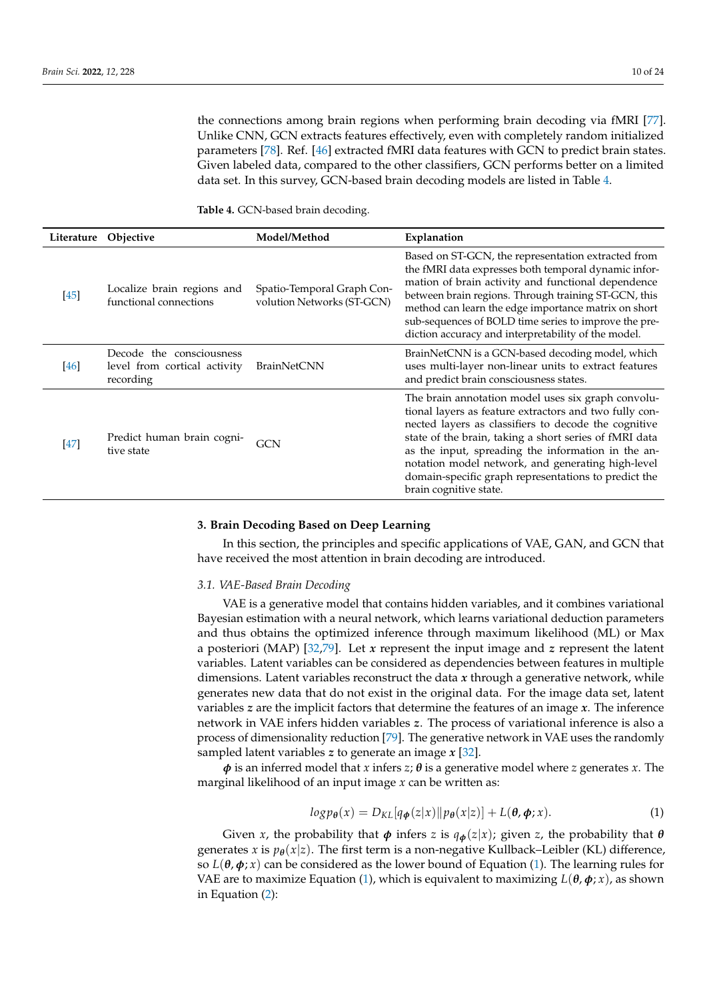the connections among brain regions when performing brain decoding via fMRI [\[77\]](#page-21-6). Unlike CNN, GCN extracts features effectively, even with completely random initialized parameters [\[78\]](#page-21-7). Ref. [\[46\]](#page-20-2) extracted fMRI data features with GCN to predict brain states. Given labeled data, compared to the other classifiers, GCN performs better on a limited data set. In this survey, GCN-based brain decoding models are listed in Table [4.](#page-9-1)

<span id="page-9-1"></span>**Table 4.** GCN-based brain decoding.

|        | Literature Objective                                                  | Model/Method                                             | Explanation                                                                                                                                                                                                                                                                                                                                                                                                                 |
|--------|-----------------------------------------------------------------------|----------------------------------------------------------|-----------------------------------------------------------------------------------------------------------------------------------------------------------------------------------------------------------------------------------------------------------------------------------------------------------------------------------------------------------------------------------------------------------------------------|
| $[45]$ | Localize brain regions and<br>functional connections                  | Spatio-Temporal Graph Con-<br>volution Networks (ST-GCN) | Based on ST-GCN, the representation extracted from<br>the fMRI data expresses both temporal dynamic infor-<br>mation of brain activity and functional dependence<br>between brain regions. Through training ST-GCN, this<br>method can learn the edge importance matrix on short<br>sub-sequences of BOLD time series to improve the pre-<br>diction accuracy and interpretability of the model.                            |
| $[46]$ | Decode the consciousness<br>level from cortical activity<br>recording | <b>BrainNetCNN</b>                                       | BrainNetCNN is a GCN-based decoding model, which<br>uses multi-layer non-linear units to extract features<br>and predict brain consciousness states.                                                                                                                                                                                                                                                                        |
| [47]   | Predict human brain cogni-<br>tive state                              | GCN                                                      | The brain annotation model uses six graph convolu-<br>tional layers as feature extractors and two fully con-<br>nected layers as classifiers to decode the cognitive<br>state of the brain, taking a short series of fMRI data<br>as the input, spreading the information in the an-<br>notation model network, and generating high-level<br>domain-specific graph representations to predict the<br>brain cognitive state. |

#### <span id="page-9-0"></span>**3. Brain Decoding Based on Deep Learning**

In this section, the principles and specific applications of VAE, GAN, and GCN that have received the most attention in brain decoding are introduced.

# *3.1. VAE-Based Brain Decoding*

VAE is a generative model that contains hidden variables, and it combines variational Bayesian estimation with a neural network, which learns variational deduction parameters and thus obtains the optimized inference through maximum likelihood (ML) or Max a posteriori (MAP) [\[32,](#page-19-12)[79\]](#page-21-8). Let *x* represent the input image and *z* represent the latent variables. Latent variables can be considered as dependencies between features in multiple dimensions. Latent variables reconstruct the data *x* through a generative network, while generates new data that do not exist in the original data. For the image data set, latent variables *z* are the implicit factors that determine the features of an image *x*. The inference network in VAE infers hidden variables *z*. The process of variational inference is also a process of dimensionality reduction [\[79\]](#page-21-8). The generative network in VAE uses the randomly sampled latent variables *z* to generate an image *x* [\[32\]](#page-19-12).

 $\phi$  is an inferred model that *x* infers *z*;  $\theta$  is a generative model where *z* generates *x*. The marginal likelihood of an input image *x* can be written as:

<span id="page-9-2"></span>
$$
log p_{\theta}(x) = D_{KL}[q_{\phi}(z|x) \| p_{\theta}(x|z)] + L(\theta, \phi; x). \tag{1}
$$

Given *x*, the probability that  $\phi$  infers *z* is  $q_{\phi}(z|x)$ ; given *z*, the probability that  $\theta$ generates *x* is  $p_{\theta}(x|z)$ . The first term is a non-negative Kullback–Leibler (KL) difference, so  $L(\theta, \phi; x)$  can be considered as the lower bound of Equation [\(1\)](#page-9-2). The learning rules for VAE are to maximize Equation [\(1\)](#page-9-2), which is equivalent to maximizing  $L(\theta, \phi; x)$ , as shown in Equation [\(2\)](#page-10-0):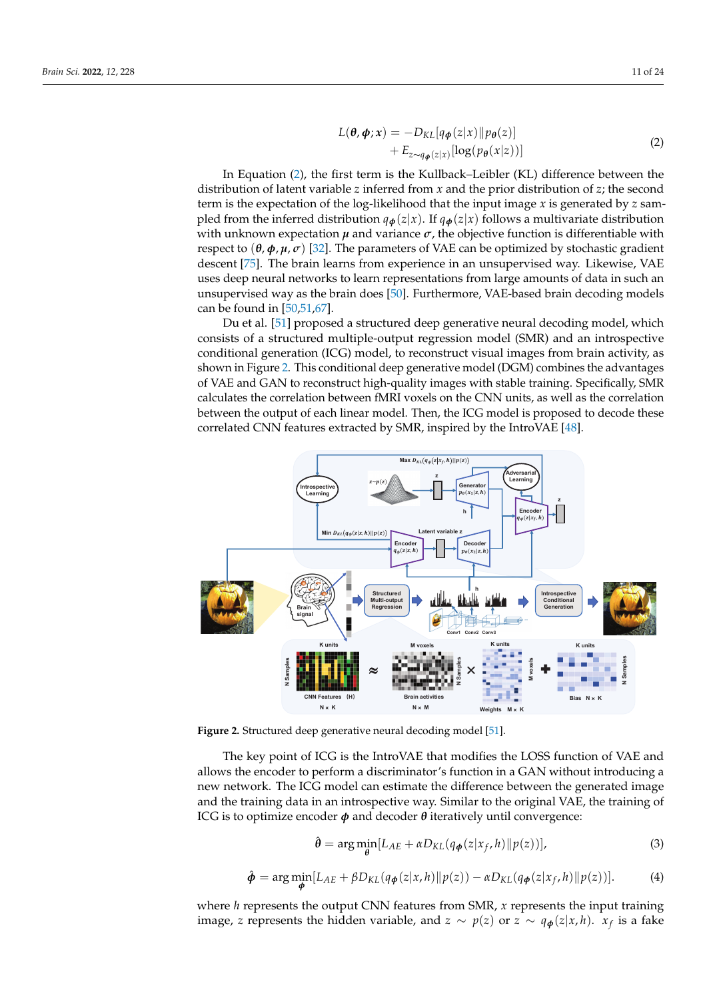<span id="page-10-0"></span>
$$
L(\theta, \phi; x) = -D_{KL}[q_{\phi}(z|x) || p_{\theta}(z)] + E_{z \sim q_{\phi}(z|x)}[\log(p_{\theta}(x|z))]
$$
(2)

In Equation [\(2\)](#page-10-0), the first term is the Kullback–Leibler (KL) difference between the distribution of latent variable *z* inferred from *x* and the prior distribution of *z*; the second term is the expectation of the log-likelihood that the input image *x* is generated by *z* sampled from the inferred distribution  $q_{\phi}(z|x)$ . If  $q_{\phi}(z|x)$  follows a multivariate distribution with unknown expectation  $\mu$  and variance  $\sigma$ , the objective function is differentiable with respect to  $(θ, φ, μ, σ)$  [\[32\]](#page-19-12). The parameters of VAE can be optimized by stochastic gradient descent [\[75\]](#page-21-4). The brain learns from experience in an unsupervised way. Likewise, VAE uses deep neural networks to learn representations from large amounts of data in such an unsupervised way as the brain does [\[50\]](#page-20-6). Furthermore, VAE-based brain decoding models can be found in [\[50](#page-20-6)[,51](#page-20-7)[,67\]](#page-20-20).

Du et al. [\[51\]](#page-20-7) proposed a structured deep generative neural decoding model, which consists of a structured multiple-output regression model (SMR) and an introspective conditional generation (ICG) model, to reconstruct visual images from brain activity, as shown in Figure [2.](#page-10-1) This conditional deep generative model (DGM) combines the advantages of VAE and GAN to reconstruct high-quality images with stable training. Specifically, SMR calculates the correlation between fMRI voxels on the CNN units, as well as the correlation between the output of each linear model. Then, the ICG model is proposed to decode these correlated CNN features extracted by SMR, inspired by the IntroVAE [\[48\]](#page-20-4).

<span id="page-10-1"></span>

**Figure 2.** Structured deep generative neural decoding model [\[51\]](#page-20-7).

The key point of ICG is the IntroVAE that modifies the LOSS function of VAE and allows the encoder to perform a discriminator's function in a GAN without introducing a new network. The ICG model can estimate the difference between the generated image and the training data in an introspective way. Similar to the original VAE, the training of ICG is to optimize encoder *φ* and decoder *θ* iteratively until convergence:

<span id="page-10-2"></span>
$$
\hat{\boldsymbol{\theta}} = \arg \min_{\boldsymbol{\theta}} [L_{AE} + \alpha D_{KL}(q_{\boldsymbol{\phi}}(z|x_f, h)||p(z))], \tag{3}
$$

<span id="page-10-3"></span>
$$
\hat{\boldsymbol{\phi}} = \arg \min_{\boldsymbol{\phi}} [L_{AE} + \beta D_{KL}(q_{\boldsymbol{\phi}}(z|x, h)||p(z)) - \alpha D_{KL}(q_{\boldsymbol{\phi}}(z|x_f, h)||p(z))]. \tag{4}
$$

where *h* represents the output CNN features from SMR, *x* represents the input training image, *z* represents the hidden variable, and  $z \sim p(z)$  or  $z \sim q_{\phi}(z|x, h)$ .  $x_f$  is a fake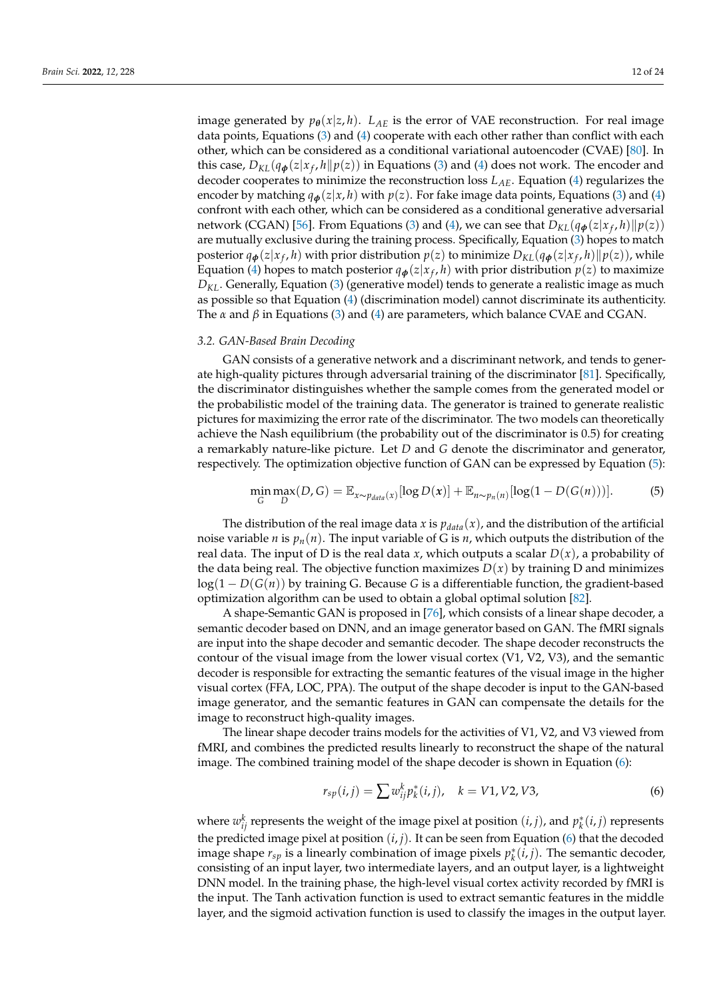image generated by  $p_{\theta}(x|z, h)$ .  $L_{AE}$  is the error of VAE reconstruction. For real image data points, Equations [\(3\)](#page-10-2) and [\(4\)](#page-10-3) cooperate with each other rather than conflict with each other, which can be considered as a conditional variational autoencoder (CVAE) [\[80\]](#page-21-9). In this case,  $D_{KL}(q_{\boldsymbol{\phi}}(z|x_f, h \| p(z))$  in Equations [\(3\)](#page-10-2) and [\(4\)](#page-10-3) does not work. The encoder and decoder cooperates to minimize the reconstruction loss *LAE*. Equation [\(4\)](#page-10-3) regularizes the encoder by matching  $q_{\phi}(z|x, h)$  with  $p(z)$ . For fake image data points, Equations [\(3\)](#page-10-2) and [\(4\)](#page-10-3) confront with each other, which can be considered as a conditional generative adversarial network (CGAN) [\[56\]](#page-20-12). From Equations [\(3\)](#page-10-2) and [\(4\)](#page-10-3), we can see that  $D_{KL}(q_{\boldsymbol{\phi}}(z|x_f, h) \| p(z))$ are mutually exclusive during the training process. Specifically, Equation [\(3\)](#page-10-2) hopes to match posterior  $q_{\bm{\phi}}(z|x_f, h)$  with prior distribution  $p(z)$  to minimize  $D_{KL}(q_{\bm{\phi}}(z|x_f, h) \| p(z))$ , while Equation [\(4\)](#page-10-3) hopes to match posterior  $q_{\phi}(z|x_{f},h)$  with prior distribution  $p(z)$  to maximize *DKL*. Generally, Equation [\(3\)](#page-10-2) (generative model) tends to generate a realistic image as much as possible so that Equation [\(4\)](#page-10-3) (discrimination model) cannot discriminate its authenticity. The *α* and *β* in Equations [\(3\)](#page-10-2) and [\(4\)](#page-10-3) are parameters, which balance CVAE and CGAN.

#### *3.2. GAN-Based Brain Decoding*

GAN consists of a generative network and a discriminant network, and tends to generate high-quality pictures through adversarial training of the discriminator [\[81\]](#page-21-10). Specifically, the discriminator distinguishes whether the sample comes from the generated model or the probabilistic model of the training data. The generator is trained to generate realistic pictures for maximizing the error rate of the discriminator. The two models can theoretically achieve the Nash equilibrium (the probability out of the discriminator is 0.5) for creating a remarkably nature-like picture. Let *D* and *G* denote the discriminator and generator, respectively. The optimization objective function of GAN can be expressed by Equation [\(5\)](#page-11-0):

<span id="page-11-0"></span>
$$
\min_{G} \max_{D} (D, G) = \mathbb{E}_{x \sim p_{data}(x)} [\log D(x)] + \mathbb{E}_{n \sim p_n(n)} [\log (1 - D(G(n)))]. \tag{5}
$$

The distribution of the real image data *x* is  $p_{data}(x)$ , and the distribution of the artificial noise variable *n* is  $p_n(n)$ . The input variable of G is *n*, which outputs the distribution of the real data. The input of D is the real data *x*, which outputs a scalar  $D(x)$ , a probability of the data being real. The objective function maximizes  $D(x)$  by training D and minimizes log(1 − *D*(*G*(*n*)) by training G. Because *G* is a differentiable function, the gradient-based optimization algorithm can be used to obtain a global optimal solution [\[82\]](#page-21-11).

A shape-Semantic GAN is proposed in [\[76\]](#page-21-5), which consists of a linear shape decoder, a semantic decoder based on DNN, and an image generator based on GAN. The fMRI signals are input into the shape decoder and semantic decoder. The shape decoder reconstructs the contour of the visual image from the lower visual cortex  $(V1, V2, V3)$ , and the semantic decoder is responsible for extracting the semantic features of the visual image in the higher visual cortex (FFA, LOC, PPA). The output of the shape decoder is input to the GAN-based image generator, and the semantic features in GAN can compensate the details for the image to reconstruct high-quality images.

The linear shape decoder trains models for the activities of V1, V2, and V3 viewed from fMRI, and combines the predicted results linearly to reconstruct the shape of the natural image. The combined training model of the shape decoder is shown in Equation [\(6\)](#page-11-1):

<span id="page-11-1"></span>
$$
r_{sp}(i,j) = \sum w_{ij}^{k} p_{k}^{*}(i,j), \quad k = V1, V2, V3,
$$
\n(6)

where  $w_{ij}^k$  represents the weight of the image pixel at position  $(i, j)$ , and  $p_k^*(i, j)$  represents the predicted image pixel at position  $(i, j)$ . It can be seen from Equation  $(6)$  that the decoded image shape  $r_{sp}$  is a linearly combination of image pixels  $p_k^*(i,j)$ . The semantic decoder, consisting of an input layer, two intermediate layers, and an output layer, is a lightweight DNN model. In the training phase, the high-level visual cortex activity recorded by fMRI is the input. The Tanh activation function is used to extract semantic features in the middle layer, and the sigmoid activation function is used to classify the images in the output layer.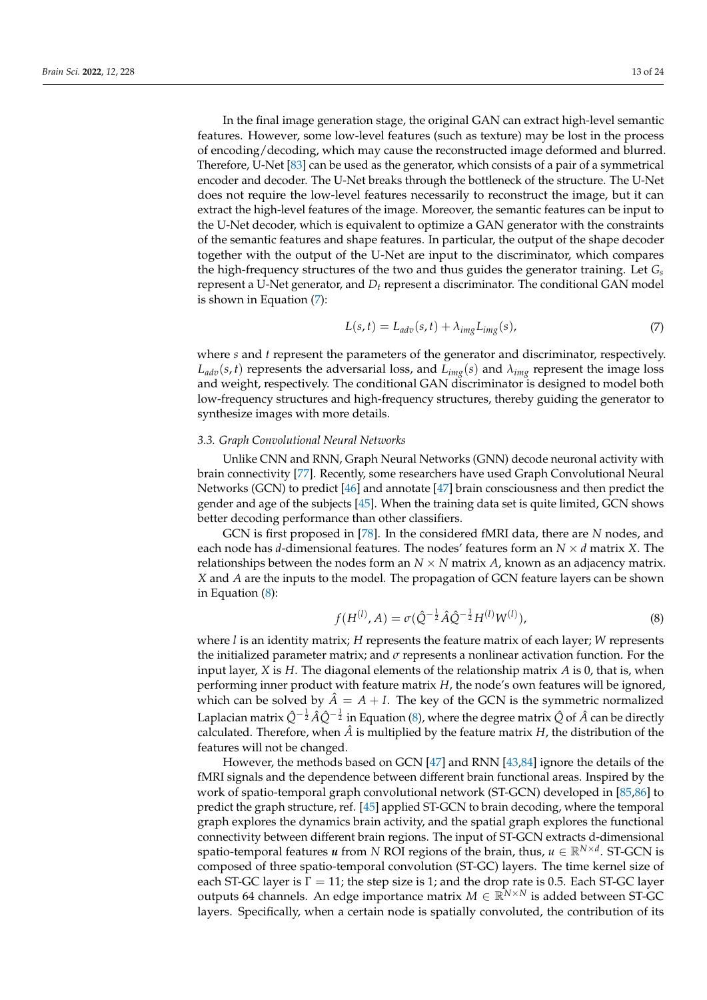In the final image generation stage, the original GAN can extract high-level semantic features. However, some low-level features (such as texture) may be lost in the process of encoding/decoding, which may cause the reconstructed image deformed and blurred. Therefore, U-Net [\[83\]](#page-21-12) can be used as the generator, which consists of a pair of a symmetrical encoder and decoder. The U-Net breaks through the bottleneck of the structure. The U-Net does not require the low-level features necessarily to reconstruct the image, but it can extract the high-level features of the image. Moreover, the semantic features can be input to the U-Net decoder, which is equivalent to optimize a GAN generator with the constraints of the semantic features and shape features. In particular, the output of the shape decoder together with the output of the U-Net are input to the discriminator, which compares the high-frequency structures of the two and thus guides the generator training. Let *G<sup>s</sup>* represent a U-Net generator, and *D<sup>t</sup>* represent a discriminator. The conditional GAN model is shown in Equation [\(7\)](#page-12-0):

<span id="page-12-0"></span>
$$
L(s,t) = L_{adv}(s,t) + \lambda_{img} L_{img}(s),
$$
\n(7)

where *s* and *t* represent the parameters of the generator and discriminator, respectively.  $L_{adv}(s, t)$  represents the adversarial loss, and  $L_{img}(s)$  and  $\lambda_{img}$  represent the image loss and weight, respectively. The conditional GAN discriminator is designed to model both low-frequency structures and high-frequency structures, thereby guiding the generator to synthesize images with more details.

## *3.3. Graph Convolutional Neural Networks*

Unlike CNN and RNN, Graph Neural Networks (GNN) decode neuronal activity with brain connectivity [\[77\]](#page-21-6). Recently, some researchers have used Graph Convolutional Neural Networks (GCN) to predict [\[46\]](#page-20-2) and annotate [\[47\]](#page-20-3) brain consciousness and then predict the gender and age of the subjects [\[45\]](#page-20-1). When the training data set is quite limited, GCN shows better decoding performance than other classifiers.

GCN is first proposed in [\[78\]](#page-21-7). In the considered fMRI data, there are *N* nodes, and each node has *d*-dimensional features. The nodes' features form an *N* × *d* matrix *X*. The relationships between the nodes form an  $N \times N$  matrix *A*, known as an adjacency matrix. *X* and *A* are the inputs to the model. The propagation of GCN feature layers can be shown in Equation [\(8\)](#page-12-1):

<span id="page-12-1"></span>
$$
f(H^{(l)}, A) = \sigma(\hat{Q}^{-\frac{1}{2}} \hat{A} \hat{Q}^{-\frac{1}{2}} H^{(l)} W^{(l)}), \tag{8}
$$

where *l* is an identity matrix; *H* represents the feature matrix of each layer; *W* represents the initialized parameter matrix; and *σ* represents a nonlinear activation function. For the input layer, *X* is *H*. The diagonal elements of the relationship matrix *A* is 0, that is, when performing inner product with feature matrix *H*, the node's own features will be ignored, which can be solved by  $\ddot{A} = A + I$ . The key of the GCN is the symmetric normalized Laplacian matrix  $\hat{Q}^{-\frac{1}{2}}\hat{A}\hat{Q}^{-\frac{1}{2}}$  in Equation [\(8\)](#page-12-1), where the degree matrix  $\hat{Q}$  of  $\hat{A}$  can be directly calculated. Therefore, when  $\hat{A}$  is multiplied by the feature matrix  $H$ , the distribution of the features will not be changed.

However, the methods based on GCN [\[47\]](#page-20-3) and RNN [\[43,](#page-19-27)[84\]](#page-21-13) ignore the details of the fMRI signals and the dependence between different brain functional areas. Inspired by the work of spatio-temporal graph convolutional network (ST-GCN) developed in [\[85,](#page-21-14)[86\]](#page-21-15) to predict the graph structure, ref. [\[45\]](#page-20-1) applied ST-GCN to brain decoding, where the temporal graph explores the dynamics brain activity, and the spatial graph explores the functional connectivity between different brain regions. The input of ST-GCN extracts d-dimensional spatio-temporal features *u* from *N* ROI regions of the brain, thus,  $u \in \mathbb{R}^{N \times d}$ . ST-GCN is composed of three spatio-temporal convolution (ST-GC) layers. The time kernel size of each ST-GC layer is  $\Gamma = 11$ ; the step size is 1; and the drop rate is 0.5. Each ST-GC layer outputs 64 channels. An edge importance matrix  $M \in \mathbb{R}^{N \times N}$  is added between ST-GC layers. Specifically, when a certain node is spatially convoluted, the contribution of its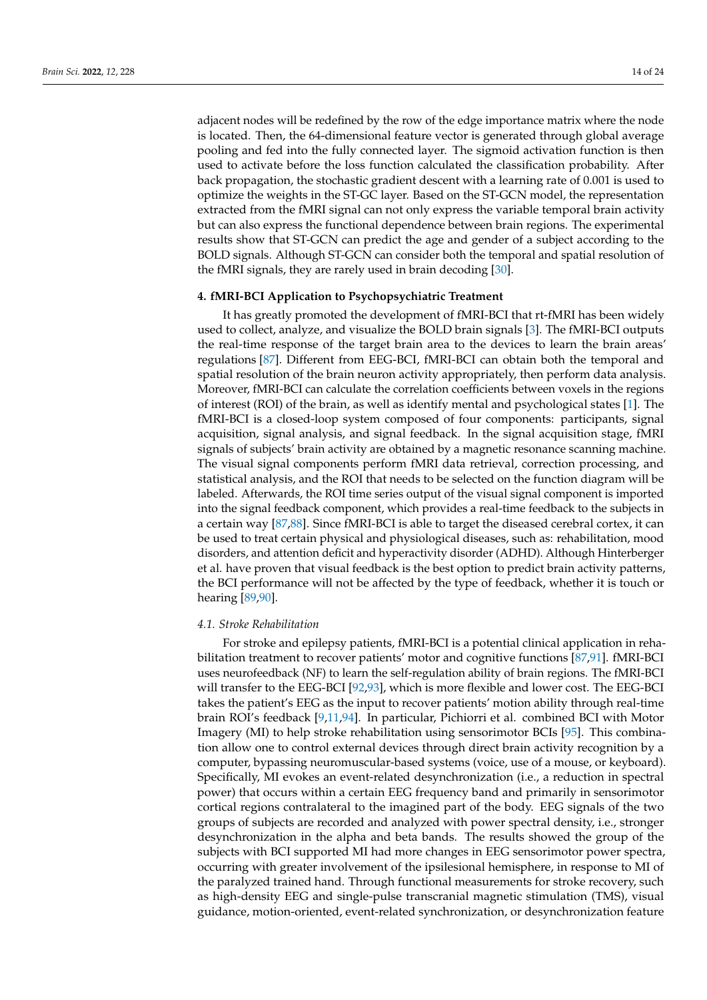adjacent nodes will be redefined by the row of the edge importance matrix where the node is located. Then, the 64-dimensional feature vector is generated through global average pooling and fed into the fully connected layer. The sigmoid activation function is then used to activate before the loss function calculated the classification probability. After back propagation, the stochastic gradient descent with a learning rate of 0.001 is used to optimize the weights in the ST-GC layer. Based on the ST-GCN model, the representation extracted from the fMRI signal can not only express the variable temporal brain activity but can also express the functional dependence between brain regions. The experimental results show that ST-GCN can predict the age and gender of a subject according to the BOLD signals. Although ST-GCN can consider both the temporal and spatial resolution of the fMRI signals, they are rarely used in brain decoding [\[30\]](#page-19-10).

## <span id="page-13-0"></span>**4. fMRI-BCI Application to Psychopsychiatric Treatment**

It has greatly promoted the development of fMRI-BCI that rt-fMRI has been widely used to collect, analyze, and visualize the BOLD brain signals [\[3\]](#page-18-2). The fMRI-BCI outputs the real-time response of the target brain area to the devices to learn the brain areas' regulations [\[87\]](#page-21-16). Different from EEG-BCI, fMRI-BCI can obtain both the temporal and spatial resolution of the brain neuron activity appropriately, then perform data analysis. Moreover, fMRI-BCI can calculate the correlation coefficients between voxels in the regions of interest (ROI) of the brain, as well as identify mental and psychological states [\[1\]](#page-18-0). The fMRI-BCI is a closed-loop system composed of four components: participants, signal acquisition, signal analysis, and signal feedback. In the signal acquisition stage, fMRI signals of subjects' brain activity are obtained by a magnetic resonance scanning machine. The visual signal components perform fMRI data retrieval, correction processing, and statistical analysis, and the ROI that needs to be selected on the function diagram will be labeled. Afterwards, the ROI time series output of the visual signal component is imported into the signal feedback component, which provides a real-time feedback to the subjects in a certain way [\[87,](#page-21-16)[88\]](#page-21-17). Since fMRI-BCI is able to target the diseased cerebral cortex, it can be used to treat certain physical and physiological diseases, such as: rehabilitation, mood disorders, and attention deficit and hyperactivity disorder (ADHD). Although Hinterberger et al. have proven that visual feedback is the best option to predict brain activity patterns, the BCI performance will not be affected by the type of feedback, whether it is touch or hearing [\[89](#page-21-18)[,90\]](#page-21-19).

#### *4.1. Stroke Rehabilitation*

For stroke and epilepsy patients, fMRI-BCI is a potential clinical application in rehabilitation treatment to recover patients' motor and cognitive functions [\[87](#page-21-16)[,91\]](#page-21-20). fMRI-BCI uses neurofeedback (NF) to learn the self-regulation ability of brain regions. The fMRI-BCI will transfer to the EEG-BCI [\[92](#page-21-21)[,93\]](#page-21-22), which is more flexible and lower cost. The EEG-BCI takes the patient's EEG as the input to recover patients' motion ability through real-time brain ROI's feedback [\[9](#page-18-13)[,11](#page-18-7)[,94\]](#page-21-23). In particular, Pichiorri et al. combined BCI with Motor Imagery (MI) to help stroke rehabilitation using sensorimotor BCIs [\[95\]](#page-21-24). This combination allow one to control external devices through direct brain activity recognition by a computer, bypassing neuromuscular-based systems (voice, use of a mouse, or keyboard). Specifically, MI evokes an event-related desynchronization (i.e., a reduction in spectral power) that occurs within a certain EEG frequency band and primarily in sensorimotor cortical regions contralateral to the imagined part of the body. EEG signals of the two groups of subjects are recorded and analyzed with power spectral density, i.e., stronger desynchronization in the alpha and beta bands. The results showed the group of the subjects with BCI supported MI had more changes in EEG sensorimotor power spectra, occurring with greater involvement of the ipsilesional hemisphere, in response to MI of the paralyzed trained hand. Through functional measurements for stroke recovery, such as high-density EEG and single-pulse transcranial magnetic stimulation (TMS), visual guidance, motion-oriented, event-related synchronization, or desynchronization feature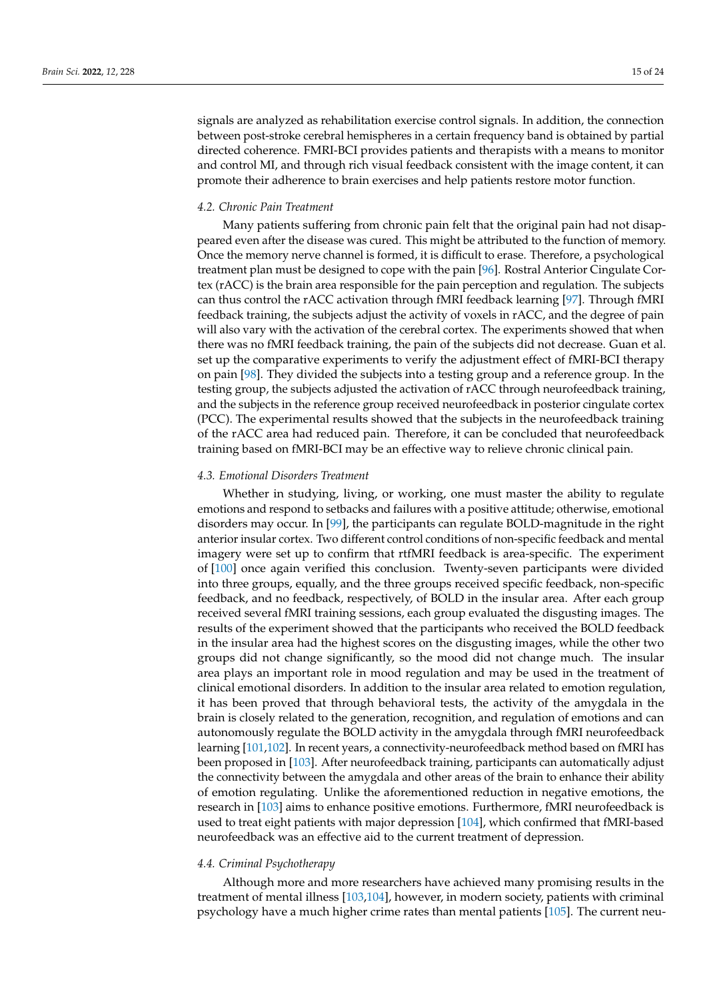signals are analyzed as rehabilitation exercise control signals. In addition, the connection between post-stroke cerebral hemispheres in a certain frequency band is obtained by partial directed coherence. FMRI-BCI provides patients and therapists with a means to monitor and control MI, and through rich visual feedback consistent with the image content, it can promote their adherence to brain exercises and help patients restore motor function.

#### *4.2. Chronic Pain Treatment*

Many patients suffering from chronic pain felt that the original pain had not disappeared even after the disease was cured. This might be attributed to the function of memory. Once the memory nerve channel is formed, it is difficult to erase. Therefore, a psychological treatment plan must be designed to cope with the pain [\[96\]](#page-21-25). Rostral Anterior Cingulate Cortex (rACC) is the brain area responsible for the pain perception and regulation. The subjects can thus control the rACC activation through fMRI feedback learning [\[97\]](#page-21-26). Through fMRI feedback training, the subjects adjust the activity of voxels in rACC, and the degree of pain will also vary with the activation of the cerebral cortex. The experiments showed that when there was no fMRI feedback training, the pain of the subjects did not decrease. Guan et al. set up the comparative experiments to verify the adjustment effect of fMRI-BCI therapy on pain [\[98\]](#page-22-0). They divided the subjects into a testing group and a reference group. In the testing group, the subjects adjusted the activation of rACC through neurofeedback training, and the subjects in the reference group received neurofeedback in posterior cingulate cortex (PCC). The experimental results showed that the subjects in the neurofeedback training of the rACC area had reduced pain. Therefore, it can be concluded that neurofeedback training based on fMRI-BCI may be an effective way to relieve chronic clinical pain.

## *4.3. Emotional Disorders Treatment*

Whether in studying, living, or working, one must master the ability to regulate emotions and respond to setbacks and failures with a positive attitude; otherwise, emotional disorders may occur. In [\[99\]](#page-22-1), the participants can regulate BOLD-magnitude in the right anterior insular cortex. Two different control conditions of non-specific feedback and mental imagery were set up to confirm that rtfMRI feedback is area-specific. The experiment of [\[100\]](#page-22-2) once again verified this conclusion. Twenty-seven participants were divided into three groups, equally, and the three groups received specific feedback, non-specific feedback, and no feedback, respectively, of BOLD in the insular area. After each group received several fMRI training sessions, each group evaluated the disgusting images. The results of the experiment showed that the participants who received the BOLD feedback in the insular area had the highest scores on the disgusting images, while the other two groups did not change significantly, so the mood did not change much. The insular area plays an important role in mood regulation and may be used in the treatment of clinical emotional disorders. In addition to the insular area related to emotion regulation, it has been proved that through behavioral tests, the activity of the amygdala in the brain is closely related to the generation, recognition, and regulation of emotions and can autonomously regulate the BOLD activity in the amygdala through fMRI neurofeedback learning [\[101,](#page-22-3)[102\]](#page-22-4). In recent years, a connectivity-neurofeedback method based on fMRI has been proposed in [\[103\]](#page-22-5). After neurofeedback training, participants can automatically adjust the connectivity between the amygdala and other areas of the brain to enhance their ability of emotion regulating. Unlike the aforementioned reduction in negative emotions, the research in [\[103\]](#page-22-5) aims to enhance positive emotions. Furthermore, fMRI neurofeedback is used to treat eight patients with major depression [\[104\]](#page-22-6), which confirmed that fMRI-based neurofeedback was an effective aid to the current treatment of depression.

## *4.4. Criminal Psychotherapy*

Although more and more researchers have achieved many promising results in the treatment of mental illness [\[103](#page-22-5)[,104\]](#page-22-6), however, in modern society, patients with criminal psychology have a much higher crime rates than mental patients [\[105\]](#page-22-7). The current neu-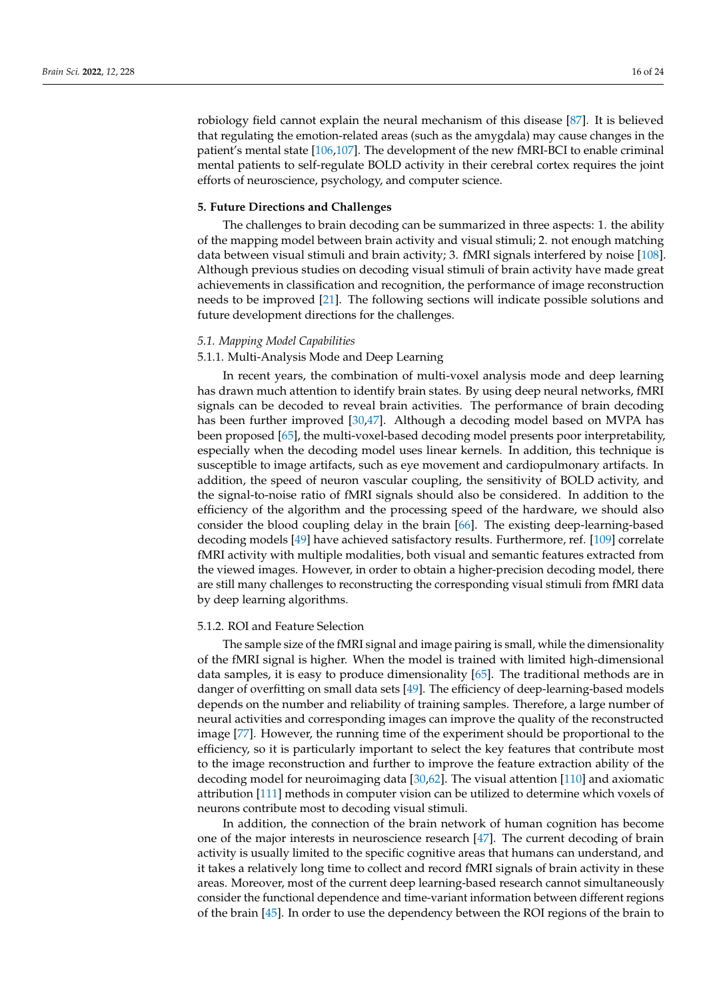robiology field cannot explain the neural mechanism of this disease [\[87\]](#page-21-16). It is believed that regulating the emotion-related areas (such as the amygdala) may cause changes in the patient's mental state [\[106,](#page-22-8)[107\]](#page-22-9). The development of the new fMRI-BCI to enable criminal mental patients to self-regulate BOLD activity in their cerebral cortex requires the joint efforts of neuroscience, psychology, and computer science.

## <span id="page-15-0"></span>**5. Future Directions and Challenges**

The challenges to brain decoding can be summarized in three aspects: 1. the ability of the mapping model between brain activity and visual stimuli; 2. not enough matching data between visual stimuli and brain activity; 3. fMRI signals interfered by noise [\[108\]](#page-22-10). Although previous studies on decoding visual stimuli of brain activity have made great achievements in classification and recognition, the performance of image reconstruction needs to be improved [\[21\]](#page-19-3). The following sections will indicate possible solutions and future development directions for the challenges.

#### *5.1. Mapping Model Capabilities*

## 5.1.1. Multi-Analysis Mode and Deep Learning

In recent years, the combination of multi-voxel analysis mode and deep learning has drawn much attention to identify brain states. By using deep neural networks, fMRI signals can be decoded to reveal brain activities. The performance of brain decoding has been further improved [\[30](#page-19-10)[,47\]](#page-20-3). Although a decoding model based on MVPA has been proposed [\[65\]](#page-20-18), the multi-voxel-based decoding model presents poor interpretability, especially when the decoding model uses linear kernels. In addition, this technique is susceptible to image artifacts, such as eye movement and cardiopulmonary artifacts. In addition, the speed of neuron vascular coupling, the sensitivity of BOLD activity, and the signal-to-noise ratio of fMRI signals should also be considered. In addition to the efficiency of the algorithm and the processing speed of the hardware, we should also consider the blood coupling delay in the brain [\[66\]](#page-20-19). The existing deep-learning-based decoding models [\[49\]](#page-20-5) have achieved satisfactory results. Furthermore, ref. [\[109\]](#page-22-11) correlate fMRI activity with multiple modalities, both visual and semantic features extracted from the viewed images. However, in order to obtain a higher-precision decoding model, there are still many challenges to reconstructing the corresponding visual stimuli from fMRI data by deep learning algorithms.

#### 5.1.2. ROI and Feature Selection

The sample size of the fMRI signal and image pairing is small, while the dimensionality of the fMRI signal is higher. When the model is trained with limited high-dimensional data samples, it is easy to produce dimensionality [\[65\]](#page-20-18). The traditional methods are in danger of overfitting on small data sets [\[49\]](#page-20-5). The efficiency of deep-learning-based models depends on the number and reliability of training samples. Therefore, a large number of neural activities and corresponding images can improve the quality of the reconstructed image [\[77\]](#page-21-6). However, the running time of the experiment should be proportional to the efficiency, so it is particularly important to select the key features that contribute most to the image reconstruction and further to improve the feature extraction ability of the decoding model for neuroimaging data [\[30,](#page-19-10)[62\]](#page-20-15). The visual attention [\[110\]](#page-22-12) and axiomatic attribution [\[111\]](#page-22-13) methods in computer vision can be utilized to determine which voxels of neurons contribute most to decoding visual stimuli.

In addition, the connection of the brain network of human cognition has become one of the major interests in neuroscience research [\[47\]](#page-20-3). The current decoding of brain activity is usually limited to the specific cognitive areas that humans can understand, and it takes a relatively long time to collect and record fMRI signals of brain activity in these areas. Moreover, most of the current deep learning-based research cannot simultaneously consider the functional dependence and time-variant information between different regions of the brain [\[45\]](#page-20-1). In order to use the dependency between the ROI regions of the brain to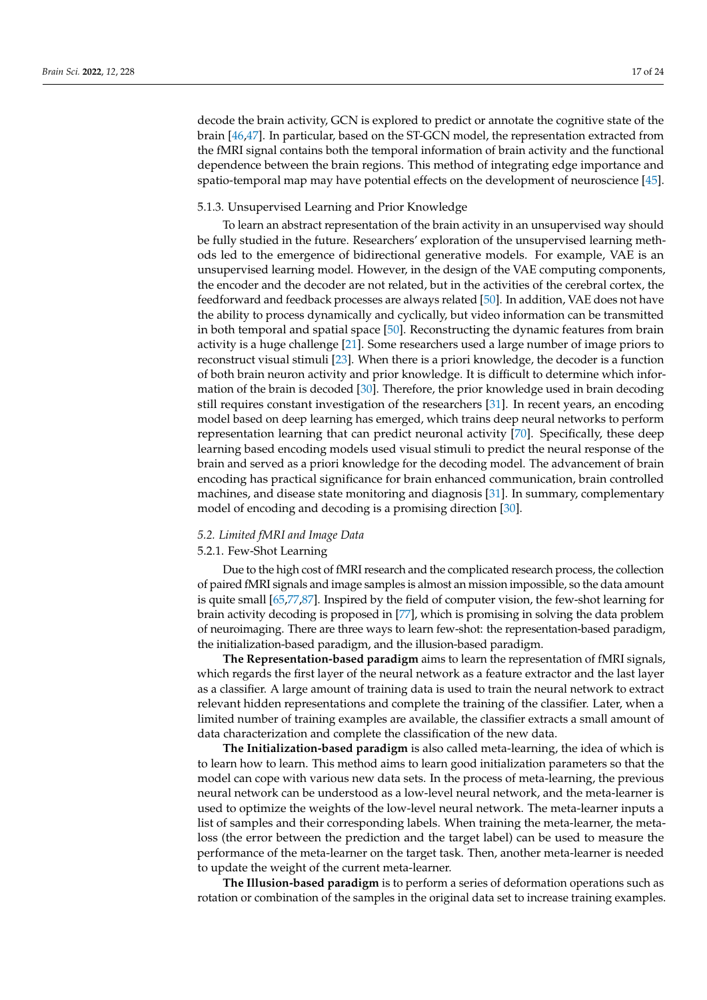decode the brain activity, GCN is explored to predict or annotate the cognitive state of the brain [\[46](#page-20-2)[,47\]](#page-20-3). In particular, based on the ST-GCN model, the representation extracted from the fMRI signal contains both the temporal information of brain activity and the functional dependence between the brain regions. This method of integrating edge importance and spatio-temporal map may have potential effects on the development of neuroscience [\[45\]](#page-20-1).

## 5.1.3. Unsupervised Learning and Prior Knowledge

To learn an abstract representation of the brain activity in an unsupervised way should be fully studied in the future. Researchers' exploration of the unsupervised learning methods led to the emergence of bidirectional generative models. For example, VAE is an unsupervised learning model. However, in the design of the VAE computing components, the encoder and the decoder are not related, but in the activities of the cerebral cortex, the feedforward and feedback processes are always related [\[50\]](#page-20-6). In addition, VAE does not have the ability to process dynamically and cyclically, but video information can be transmitted in both temporal and spatial space [\[50\]](#page-20-6). Reconstructing the dynamic features from brain activity is a huge challenge [\[21\]](#page-19-3). Some researchers used a large number of image priors to reconstruct visual stimuli [\[23\]](#page-19-9). When there is a priori knowledge, the decoder is a function of both brain neuron activity and prior knowledge. It is difficult to determine which information of the brain is decoded [\[30\]](#page-19-10). Therefore, the prior knowledge used in brain decoding still requires constant investigation of the researchers [\[31\]](#page-19-11). In recent years, an encoding model based on deep learning has emerged, which trains deep neural networks to perform representation learning that can predict neuronal activity [\[70\]](#page-20-23). Specifically, these deep learning based encoding models used visual stimuli to predict the neural response of the brain and served as a priori knowledge for the decoding model. The advancement of brain encoding has practical significance for brain enhanced communication, brain controlled machines, and disease state monitoring and diagnosis [\[31\]](#page-19-11). In summary, complementary model of encoding and decoding is a promising direction [\[30\]](#page-19-10).

## *5.2. Limited fMRI and Image Data*

# 5.2.1. Few-Shot Learning

Due to the high cost of fMRI research and the complicated research process, the collection of paired fMRI signals and image samples is almost an mission impossible, so the data amount is quite small [\[65](#page-20-18)[,77](#page-21-6)[,87\]](#page-21-16). Inspired by the field of computer vision, the few-shot learning for brain activity decoding is proposed in [\[77\]](#page-21-6), which is promising in solving the data problem of neuroimaging. There are three ways to learn few-shot: the representation-based paradigm, the initialization-based paradigm, and the illusion-based paradigm.

**The Representation-based paradigm** aims to learn the representation of fMRI signals, which regards the first layer of the neural network as a feature extractor and the last layer as a classifier. A large amount of training data is used to train the neural network to extract relevant hidden representations and complete the training of the classifier. Later, when a limited number of training examples are available, the classifier extracts a small amount of data characterization and complete the classification of the new data.

**The Initialization-based paradigm** is also called meta-learning, the idea of which is to learn how to learn. This method aims to learn good initialization parameters so that the model can cope with various new data sets. In the process of meta-learning, the previous neural network can be understood as a low-level neural network, and the meta-learner is used to optimize the weights of the low-level neural network. The meta-learner inputs a list of samples and their corresponding labels. When training the meta-learner, the metaloss (the error between the prediction and the target label) can be used to measure the performance of the meta-learner on the target task. Then, another meta-learner is needed to update the weight of the current meta-learner.

**The Illusion-based paradigm** is to perform a series of deformation operations such as rotation or combination of the samples in the original data set to increase training examples.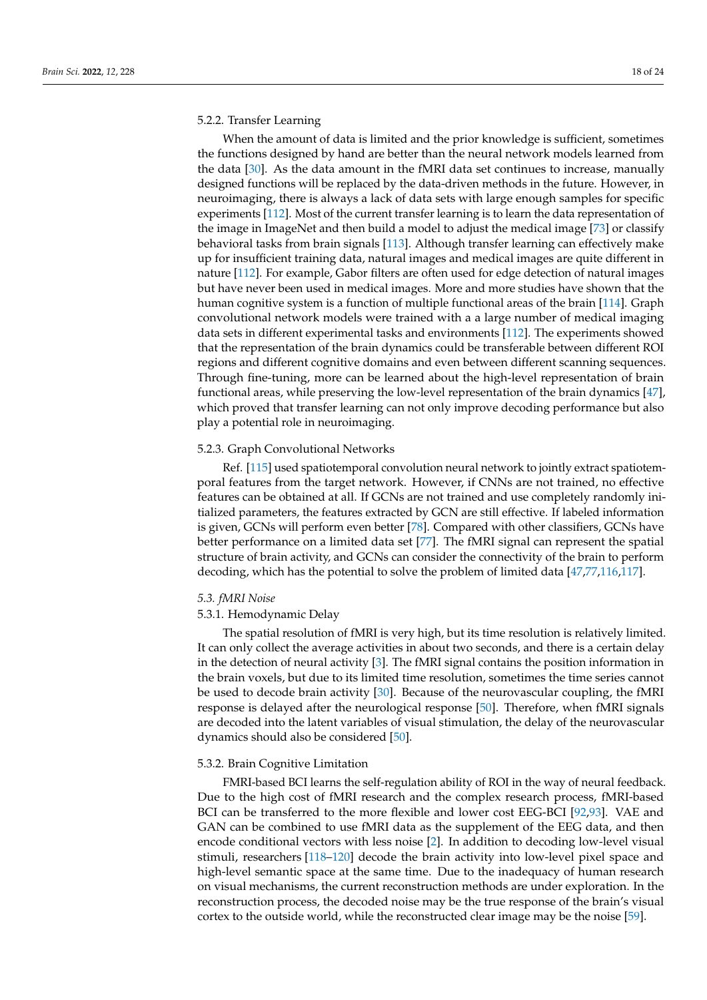# 5.2.2. Transfer Learning

When the amount of data is limited and the prior knowledge is sufficient, sometimes the functions designed by hand are better than the neural network models learned from the data [\[30\]](#page-19-10). As the data amount in the fMRI data set continues to increase, manually designed functions will be replaced by the data-driven methods in the future. However, in neuroimaging, there is always a lack of data sets with large enough samples for specific experiments [\[112\]](#page-22-14). Most of the current transfer learning is to learn the data representation of the image in ImageNet and then build a model to adjust the medical image [\[73\]](#page-21-2) or classify behavioral tasks from brain signals [\[113\]](#page-22-15). Although transfer learning can effectively make up for insufficient training data, natural images and medical images are quite different in nature [\[112\]](#page-22-14). For example, Gabor filters are often used for edge detection of natural images but have never been used in medical images. More and more studies have shown that the human cognitive system is a function of multiple functional areas of the brain [\[114\]](#page-22-16). Graph convolutional network models were trained with a a large number of medical imaging data sets in different experimental tasks and environments [\[112\]](#page-22-14). The experiments showed that the representation of the brain dynamics could be transferable between different ROI regions and different cognitive domains and even between different scanning sequences. Through fine-tuning, more can be learned about the high-level representation of brain functional areas, while preserving the low-level representation of the brain dynamics [\[47\]](#page-20-3), which proved that transfer learning can not only improve decoding performance but also play a potential role in neuroimaging.

## 5.2.3. Graph Convolutional Networks

Ref. [\[115\]](#page-22-17) used spatiotemporal convolution neural network to jointly extract spatiotemporal features from the target network. However, if CNNs are not trained, no effective features can be obtained at all. If GCNs are not trained and use completely randomly initialized parameters, the features extracted by GCN are still effective. If labeled information is given, GCNs will perform even better [\[78\]](#page-21-7). Compared with other classifiers, GCNs have better performance on a limited data set [\[77\]](#page-21-6). The fMRI signal can represent the spatial structure of brain activity, and GCNs can consider the connectivity of the brain to perform decoding, which has the potential to solve the problem of limited data [\[47,](#page-20-3)[77,](#page-21-6)[116,](#page-22-18)[117\]](#page-22-19).

#### *5.3. fMRI Noise*

#### 5.3.1. Hemodynamic Delay

The spatial resolution of fMRI is very high, but its time resolution is relatively limited. It can only collect the average activities in about two seconds, and there is a certain delay in the detection of neural activity [\[3\]](#page-18-2). The fMRI signal contains the position information in the brain voxels, but due to its limited time resolution, sometimes the time series cannot be used to decode brain activity [\[30\]](#page-19-10). Because of the neurovascular coupling, the fMRI response is delayed after the neurological response [\[50\]](#page-20-6). Therefore, when fMRI signals are decoded into the latent variables of visual stimulation, the delay of the neurovascular dynamics should also be considered [\[50\]](#page-20-6).

#### 5.3.2. Brain Cognitive Limitation

FMRI-based BCI learns the self-regulation ability of ROI in the way of neural feedback. Due to the high cost of fMRI research and the complex research process, fMRI-based BCI can be transferred to the more flexible and lower cost EEG-BCI [\[92](#page-21-21)[,93\]](#page-21-22). VAE and GAN can be combined to use fMRI data as the supplement of the EEG data, and then encode conditional vectors with less noise [\[2\]](#page-18-1). In addition to decoding low-level visual stimuli, researchers [\[118–](#page-22-20)[120\]](#page-22-21) decode the brain activity into low-level pixel space and high-level semantic space at the same time. Due to the inadequacy of human research on visual mechanisms, the current reconstruction methods are under exploration. In the reconstruction process, the decoded noise may be the true response of the brain's visual cortex to the outside world, while the reconstructed clear image may be the noise [\[59\]](#page-20-24).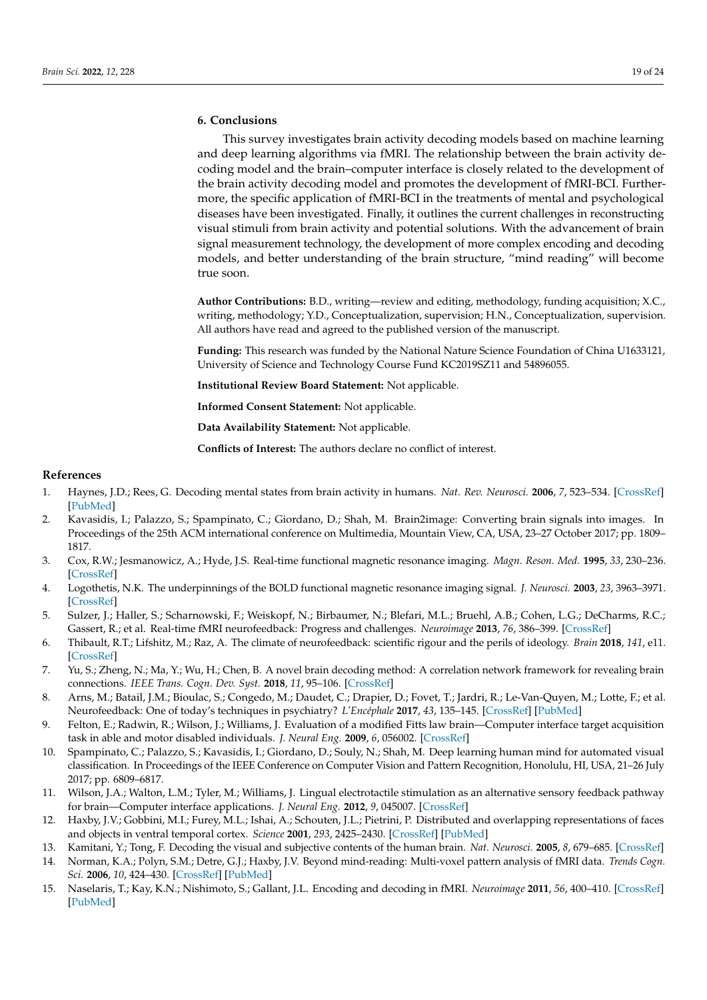# <span id="page-18-11"></span>**6. Conclusions**

This survey investigates brain activity decoding models based on machine learning and deep learning algorithms via fMRI. The relationship between the brain activity decoding model and the brain–computer interface is closely related to the development of the brain activity decoding model and promotes the development of fMRI-BCI. Furthermore, the specific application of fMRI-BCI in the treatments of mental and psychological diseases have been investigated. Finally, it outlines the current challenges in reconstructing visual stimuli from brain activity and potential solutions. With the advancement of brain signal measurement technology, the development of more complex encoding and decoding models, and better understanding of the brain structure, "mind reading" will become true soon.

**Author Contributions:** B.D., writing—review and editing, methodology, funding acquisition; X.C., writing, methodology; Y.D., Conceptualization, supervision; H.N., Conceptualization, supervision. All authors have read and agreed to the published version of the manuscript.

**Funding:** This research was funded by the National Nature Science Foundation of China U1633121, University of Science and Technology Course Fund KC2019SZ11 and 54896055.

**Institutional Review Board Statement:** Not applicable.

**Informed Consent Statement:** Not applicable.

**Data Availability Statement:** Not applicable.

**Conflicts of Interest:** The authors declare no conflict of interest.

#### **References**

- <span id="page-18-0"></span>1. Haynes, J.D.; Rees, G. Decoding mental states from brain activity in humans. *Nat. Rev. Neurosci.* **2006**, *7*, 523–534. [\[CrossRef\]](http://doi.org/10.1038/nrn1931) [\[PubMed\]](http://www.ncbi.nlm.nih.gov/pubmed/16791142)
- <span id="page-18-1"></span>2. Kavasidis, I.; Palazzo, S.; Spampinato, C.; Giordano, D.; Shah, M. Brain2image: Converting brain signals into images. In Proceedings of the 25th ACM international conference on Multimedia, Mountain View, CA, USA, 23–27 October 2017; pp. 1809– 1817.
- <span id="page-18-2"></span>3. Cox, R.W.; Jesmanowicz, A.; Hyde, J.S. Real-time functional magnetic resonance imaging. *Magn. Reson. Med.* **1995**, *33*, 230–236. [\[CrossRef\]](http://dx.doi.org/10.1002/mrm.1910330213)
- <span id="page-18-3"></span>4. Logothetis, N.K. The underpinnings of the BOLD functional magnetic resonance imaging signal. *J. Neurosci.* **2003**, *23*, 3963–3971. [\[CrossRef\]](http://dx.doi.org/10.1523/JNEUROSCI.23-10-03963.2003)
- <span id="page-18-4"></span>5. Sulzer, J.; Haller, S.; Scharnowski, F.; Weiskopf, N.; Birbaumer, N.; Blefari, M.L.; Bruehl, A.B.; Cohen, L.G.; DeCharms, R.C.; Gassert, R.; et al. Real-time fMRI neurofeedback: Progress and challenges. *Neuroimage* **2013**, *76*, 386–399. [\[CrossRef\]](http://dx.doi.org/10.1016/j.neuroimage.2013.03.033)
- 6. Thibault, R.T.; Lifshitz, M.; Raz, A. The climate of neurofeedback: scientific rigour and the perils of ideology. *Brain* **2018**, *141*, e11. [\[CrossRef\]](http://dx.doi.org/10.1093/brain/awx330)
- <span id="page-18-5"></span>7. Yu, S.; Zheng, N.; Ma, Y.; Wu, H.; Chen, B. A novel brain decoding method: A correlation network framework for revealing brain connections. *IEEE Trans. Cogn. Dev. Syst.* **2018**, *11*, 95–106. [\[CrossRef\]](http://dx.doi.org/10.1109/TCDS.2018.2854274)
- <span id="page-18-6"></span>8. Arns, M.; Batail, J.M.; Bioulac, S.; Congedo, M.; Daudet, C.; Drapier, D.; Fovet, T.; Jardri, R.; Le-Van-Quyen, M.; Lotte, F.; et al. Neurofeedback: One of today's techniques in psychiatry? *L'Encéphale* **2017**, *43*, 135–145. [\[CrossRef\]](http://dx.doi.org/10.1016/j.encep.2016.11.003) [\[PubMed\]](http://www.ncbi.nlm.nih.gov/pubmed/28041692)
- <span id="page-18-13"></span>9. Felton, E.; Radwin, R.; Wilson, J.; Williams, J. Evaluation of a modified Fitts law brain—Computer interface target acquisition task in able and motor disabled individuals. *J. Neural Eng.* **2009**, *6*, 056002. [\[CrossRef\]](http://dx.doi.org/10.1088/1741-2560/6/5/056002)
- 10. Spampinato, C.; Palazzo, S.; Kavasidis, I.; Giordano, D.; Souly, N.; Shah, M. Deep learning human mind for automated visual classification. In Proceedings of the IEEE Conference on Computer Vision and Pattern Recognition, Honolulu, HI, USA, 21–26 July 2017; pp. 6809–6817.
- <span id="page-18-7"></span>11. Wilson, J.A.; Walton, L.M.; Tyler, M.; Williams, J. Lingual electrotactile stimulation as an alternative sensory feedback pathway for brain—Computer interface applications. *J. Neural Eng.* **2012**, *9*, 045007. [\[CrossRef\]](http://dx.doi.org/10.1088/1741-2560/9/4/045007)
- <span id="page-18-8"></span>12. Haxby, J.V.; Gobbini, M.I.; Furey, M.L.; Ishai, A.; Schouten, J.L.; Pietrini, P. Distributed and overlapping representations of faces and objects in ventral temporal cortex. *Science* **2001**, *293*, 2425–2430. [\[CrossRef\]](http://dx.doi.org/10.1126/science.1063736) [\[PubMed\]](http://www.ncbi.nlm.nih.gov/pubmed/11577229)
- <span id="page-18-10"></span>13. Kamitani, Y.; Tong, F. Decoding the visual and subjective contents of the human brain. *Nat. Neurosci.* **2005**, *8*, 679–685. [\[CrossRef\]](http://dx.doi.org/10.1038/nn1444)
- <span id="page-18-9"></span>14. Norman, K.A.; Polyn, S.M.; Detre, G.J.; Haxby, J.V. Beyond mind-reading: Multi-voxel pattern analysis of fMRI data. *Trends Cogn. Sci.* **2006**, *10*, 424–430. [\[CrossRef\]](http://dx.doi.org/10.1016/j.tics.2006.07.005) [\[PubMed\]](http://www.ncbi.nlm.nih.gov/pubmed/16899397)
- <span id="page-18-12"></span>15. Naselaris, T.; Kay, K.N.; Nishimoto, S.; Gallant, J.L. Encoding and decoding in fMRI. *Neuroimage* **2011**, *56*, 400–410. [\[CrossRef\]](http://dx.doi.org/10.1016/j.neuroimage.2010.07.073) [\[PubMed\]](http://www.ncbi.nlm.nih.gov/pubmed/20691790)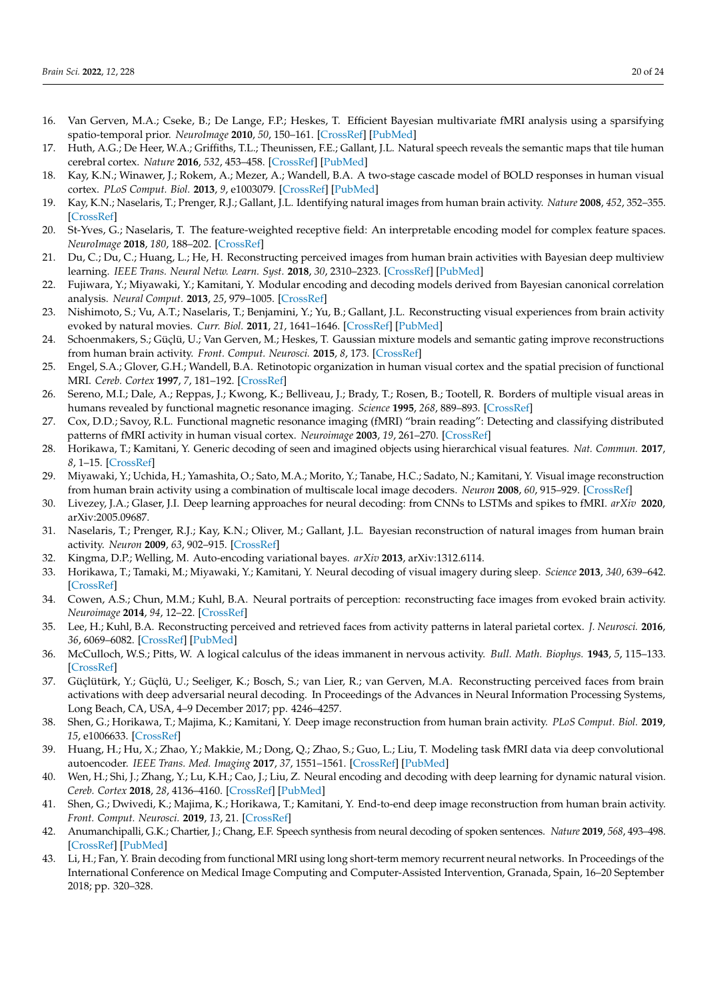- <span id="page-19-0"></span>16. Van Gerven, M.A.; Cseke, B.; De Lange, F.P.; Heskes, T. Efficient Bayesian multivariate fMRI analysis using a sparsifying spatio-temporal prior. *NeuroImage* **2010**, *50*, 150–161. [\[CrossRef\]](http://dx.doi.org/10.1016/j.neuroimage.2009.11.064) [\[PubMed\]](http://www.ncbi.nlm.nih.gov/pubmed/19958837)
- <span id="page-19-1"></span>17. Huth, A.G.; De Heer, W.A.; Griffiths, T.L.; Theunissen, F.E.; Gallant, J.L. Natural speech reveals the semantic maps that tile human cerebral cortex. *Nature* **2016**, *532*, 453–458. [\[CrossRef\]](http://dx.doi.org/10.1038/nature17637) [\[PubMed\]](http://www.ncbi.nlm.nih.gov/pubmed/27121839)
- <span id="page-19-26"></span>18. Kay, K.N.; Winawer, J.; Rokem, A.; Mezer, A.; Wandell, B.A. A two-stage cascade model of BOLD responses in human visual cortex. *PLoS Comput. Biol.* **2013**, *9*, e1003079. [\[CrossRef\]](http://dx.doi.org/10.1371/journal.pcbi.1003079) [\[PubMed\]](http://www.ncbi.nlm.nih.gov/pubmed/23737741)
- <span id="page-19-25"></span>19. Kay, K.N.; Naselaris, T.; Prenger, R.J.; Gallant, J.L. Identifying natural images from human brain activity. *Nature* **2008**, *452*, 352–355. [\[CrossRef\]](http://dx.doi.org/10.1038/nature06713)
- <span id="page-19-2"></span>20. St-Yves, G.; Naselaris, T. The feature-weighted receptive field: An interpretable encoding model for complex feature spaces. *NeuroImage* **2018**, *180*, 188–202. [\[CrossRef\]](http://dx.doi.org/10.1016/j.neuroimage.2017.06.035)
- <span id="page-19-3"></span>21. Du, C.; Du, C.; Huang, L.; He, H. Reconstructing perceived images from human brain activities with Bayesian deep multiview learning. *IEEE Trans. Neural Netw. Learn. Syst.* **2018**, *30*, 2310–2323. [\[CrossRef\]](http://dx.doi.org/10.1109/TNNLS.2018.2882456) [\[PubMed\]](http://www.ncbi.nlm.nih.gov/pubmed/30561354)
- <span id="page-19-15"></span>22. Fujiwara, Y.; Miyawaki, Y.; Kamitani, Y. Modular encoding and decoding models derived from Bayesian canonical correlation analysis. *Neural Comput.* **2013**, *25*, 979–1005. [\[CrossRef\]](http://dx.doi.org/10.1162/NECO_a_00423)
- <span id="page-19-9"></span>23. Nishimoto, S.; Vu, A.T.; Naselaris, T.; Benjamini, Y.; Yu, B.; Gallant, J.L. Reconstructing visual experiences from brain activity evoked by natural movies. *Curr. Biol.* **2011**, *21*, 1641–1646. [\[CrossRef\]](http://dx.doi.org/10.1016/j.cub.2011.08.031) [\[PubMed\]](http://www.ncbi.nlm.nih.gov/pubmed/21945275)
- <span id="page-19-4"></span>24. Schoenmakers, S.; Güçlü, U.; Van Gerven, M.; Heskes, T. Gaussian mixture models and semantic gating improve reconstructions from human brain activity. *Front. Comput. Neurosci.* **2015**, *8*, 173. [\[CrossRef\]](http://dx.doi.org/10.3389/fncom.2014.00173)
- <span id="page-19-5"></span>25. Engel, S.A.; Glover, G.H.; Wandell, B.A. Retinotopic organization in human visual cortex and the spatial precision of functional MRI. *Cereb. Cortex* **1997**, *7*, 181–192. [\[CrossRef\]](http://dx.doi.org/10.1093/cercor/7.2.181)
- <span id="page-19-6"></span>26. Sereno, M.I.; Dale, A.; Reppas, J.; Kwong, K.; Belliveau, J.; Brady, T.; Rosen, B.; Tootell, R. Borders of multiple visual areas in humans revealed by functional magnetic resonance imaging. *Science* **1995**, *268*, 889–893. [\[CrossRef\]](http://dx.doi.org/10.1126/science.7754376)
- <span id="page-19-7"></span>27. Cox, D.D.; Savoy, R.L. Functional magnetic resonance imaging (fMRI) "brain reading": Detecting and classifying distributed patterns of fMRI activity in human visual cortex. *Neuroimage* **2003**, *19*, 261–270. [\[CrossRef\]](http://dx.doi.org/10.1016/S1053-8119(03)00049-1)
- <span id="page-19-21"></span>28. Horikawa, T.; Kamitani, Y. Generic decoding of seen and imagined objects using hierarchical visual features. *Nat. Commun.* **2017**, *8*, 1–15. [\[CrossRef\]](http://dx.doi.org/10.1038/ncomms15037)
- <span id="page-19-8"></span>29. Miyawaki, Y.; Uchida, H.; Yamashita, O.; Sato, M.A.; Morito, Y.; Tanabe, H.C.; Sadato, N.; Kamitani, Y. Visual image reconstruction from human brain activity using a combination of multiscale local image decoders. *Neuron* **2008**, *60*, 915–929. [\[CrossRef\]](http://dx.doi.org/10.1016/j.neuron.2008.11.004)
- <span id="page-19-10"></span>30. Livezey, J.A.; Glaser, J.I. Deep learning approaches for neural decoding: from CNNs to LSTMs and spikes to fMRI. *arXiv* **2020**, arXiv:2005.09687.
- <span id="page-19-11"></span>31. Naselaris, T.; Prenger, R.J.; Kay, K.N.; Oliver, M.; Gallant, J.L. Bayesian reconstruction of natural images from human brain activity. *Neuron* **2009**, *63*, 902–915. [\[CrossRef\]](http://dx.doi.org/10.1016/j.neuron.2009.09.006)
- <span id="page-19-12"></span>32. Kingma, D.P.; Welling, M. Auto-encoding variational bayes. *arXiv* **2013**, arXiv:1312.6114.
- <span id="page-19-13"></span>33. Horikawa, T.; Tamaki, M.; Miyawaki, Y.; Kamitani, Y. Neural decoding of visual imagery during sleep. *Science* **2013**, *340*, 639–642. [\[CrossRef\]](http://dx.doi.org/10.1126/science.1234330)
- <span id="page-19-14"></span>34. Cowen, A.S.; Chun, M.M.; Kuhl, B.A. Neural portraits of perception: reconstructing face images from evoked brain activity. *Neuroimage* **2014**, *94*, 12–22. [\[CrossRef\]](http://dx.doi.org/10.1016/j.neuroimage.2014.03.018)
- <span id="page-19-16"></span>35. Lee, H.; Kuhl, B.A. Reconstructing perceived and retrieved faces from activity patterns in lateral parietal cortex. *J. Neurosci.* **2016**, *36*, 6069–6082. [\[CrossRef\]](http://dx.doi.org/10.1523/JNEUROSCI.4286-15.2016) [\[PubMed\]](http://www.ncbi.nlm.nih.gov/pubmed/27251627)
- <span id="page-19-17"></span>36. McCulloch, W.S.; Pitts, W. A logical calculus of the ideas immanent in nervous activity. *Bull. Math. Biophys.* **1943**, *5*, 115–133. [\[CrossRef\]](http://dx.doi.org/10.1007/BF02478259)
- <span id="page-19-18"></span>37. Güçlütürk, Y.; Güçlü, U.; Seeliger, K.; Bosch, S.; van Lier, R.; van Gerven, M.A. Reconstructing perceived faces from brain activations with deep adversarial neural decoding. In Proceedings of the Advances in Neural Information Processing Systems, Long Beach, CA, USA, 4–9 December 2017; pp. 4246–4257.
- <span id="page-19-19"></span>38. Shen, G.; Horikawa, T.; Majima, K.; Kamitani, Y. Deep image reconstruction from human brain activity. *PLoS Comput. Biol.* **2019**, *15*, e1006633. [\[CrossRef\]](http://dx.doi.org/10.1371/journal.pcbi.1006633)
- <span id="page-19-20"></span>39. Huang, H.; Hu, X.; Zhao, Y.; Makkie, M.; Dong, Q.; Zhao, S.; Guo, L.; Liu, T. Modeling task fMRI data via deep convolutional autoencoder. *IEEE Trans. Med. Imaging* **2017**, *37*, 1551–1561. [\[CrossRef\]](http://dx.doi.org/10.1109/TMI.2017.2715285) [\[PubMed\]](http://www.ncbi.nlm.nih.gov/pubmed/28641247)
- <span id="page-19-22"></span>40. Wen, H.; Shi, J.; Zhang, Y.; Lu, K.H.; Cao, J.; Liu, Z. Neural encoding and decoding with deep learning for dynamic natural vision. *Cereb. Cortex* **2018**, *28*, 4136–4160. [\[CrossRef\]](http://dx.doi.org/10.1093/cercor/bhx268) [\[PubMed\]](http://www.ncbi.nlm.nih.gov/pubmed/29059288)
- <span id="page-19-23"></span>41. Shen, G.; Dwivedi, K.; Majima, K.; Horikawa, T.; Kamitani, Y. End-to-end deep image reconstruction from human brain activity. *Front. Comput. Neurosci.* **2019**, *13*, 21. [\[CrossRef\]](http://dx.doi.org/10.3389/fncom.2019.00021)
- <span id="page-19-24"></span>42. Anumanchipalli, G.K.; Chartier, J.; Chang, E.F. Speech synthesis from neural decoding of spoken sentences. *Nature* **2019**, *568*, 493–498. [\[CrossRef\]](http://dx.doi.org/10.1038/s41586-019-1119-1) [\[PubMed\]](http://www.ncbi.nlm.nih.gov/pubmed/31019317)
- <span id="page-19-27"></span>43. Li, H.; Fan, Y. Brain decoding from functional MRI using long short-term memory recurrent neural networks. In Proceedings of the International Conference on Medical Image Computing and Computer-Assisted Intervention, Granada, Spain, 16–20 September 2018; pp. 320–328.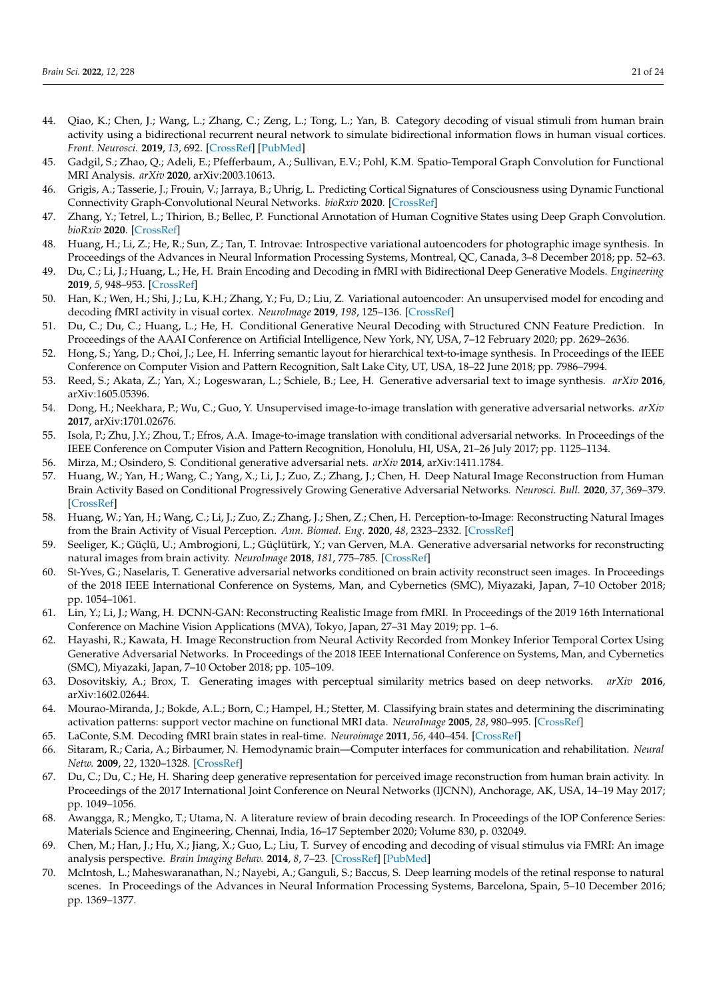- <span id="page-20-0"></span>44. Qiao, K.; Chen, J.; Wang, L.; Zhang, C.; Zeng, L.; Tong, L.; Yan, B. Category decoding of visual stimuli from human brain activity using a bidirectional recurrent neural network to simulate bidirectional information flows in human visual cortices. *Front. Neurosci.* **2019**, *13*, 692. [\[CrossRef\]](http://dx.doi.org/10.3389/fnins.2019.00692) [\[PubMed\]](http://www.ncbi.nlm.nih.gov/pubmed/31354409)
- <span id="page-20-1"></span>45. Gadgil, S.; Zhao, Q.; Adeli, E.; Pfefferbaum, A.; Sullivan, E.V.; Pohl, K.M. Spatio-Temporal Graph Convolution for Functional MRI Analysis. *arXiv* **2020**, arXiv:2003.10613.
- <span id="page-20-2"></span>46. Grigis, A.; Tasserie, J.; Frouin, V.; Jarraya, B.; Uhrig, L. Predicting Cortical Signatures of Consciousness using Dynamic Functional Connectivity Graph-Convolutional Neural Networks. *bioRxiv* **2020**. [\[CrossRef\]](http://dx.doi.org/10.1101/2020.05.11.078535)
- <span id="page-20-3"></span>47. Zhang, Y.; Tetrel, L.; Thirion, B.; Bellec, P. Functional Annotation of Human Cognitive States using Deep Graph Convolution. *bioRxiv* **2020**. [\[CrossRef\]](http://dx.doi.org/10.1016/j.neuroimage.2021.117847)
- <span id="page-20-4"></span>48. Huang, H.; Li, Z.; He, R.; Sun, Z.; Tan, T. Introvae: Introspective variational autoencoders for photographic image synthesis. In Proceedings of the Advances in Neural Information Processing Systems, Montreal, QC, Canada, 3–8 December 2018; pp. 52–63.
- <span id="page-20-5"></span>49. Du, C.; Li, J.; Huang, L.; He, H. Brain Encoding and Decoding in fMRI with Bidirectional Deep Generative Models. *Engineering* **2019**, *5*, 948–953. [\[CrossRef\]](http://dx.doi.org/10.1016/j.eng.2019.03.010)
- <span id="page-20-6"></span>50. Han, K.; Wen, H.; Shi, J.; Lu, K.H.; Zhang, Y.; Fu, D.; Liu, Z. Variational autoencoder: An unsupervised model for encoding and decoding fMRI activity in visual cortex. *NeuroImage* **2019**, *198*, 125–136. [\[CrossRef\]](http://dx.doi.org/10.1016/j.neuroimage.2019.05.039)
- <span id="page-20-7"></span>51. Du, C.; Du, C.; Huang, L.; He, H. Conditional Generative Neural Decoding with Structured CNN Feature Prediction. In Proceedings of the AAAI Conference on Artificial Intelligence, New York, NY, USA, 7–12 February 2020; pp. 2629–2636.
- <span id="page-20-8"></span>52. Hong, S.; Yang, D.; Choi, J.; Lee, H. Inferring semantic layout for hierarchical text-to-image synthesis. In Proceedings of the IEEE Conference on Computer Vision and Pattern Recognition, Salt Lake City, UT, USA, 18–22 June 2018; pp. 7986–7994.
- <span id="page-20-9"></span>53. Reed, S.; Akata, Z.; Yan, X.; Logeswaran, L.; Schiele, B.; Lee, H. Generative adversarial text to image synthesis. *arXiv* **2016**, arXiv:1605.05396.
- <span id="page-20-10"></span>54. Dong, H.; Neekhara, P.; Wu, C.; Guo, Y. Unsupervised image-to-image translation with generative adversarial networks. *arXiv* **2017**, arXiv:1701.02676.
- <span id="page-20-11"></span>55. Isola, P.; Zhu, J.Y.; Zhou, T.; Efros, A.A. Image-to-image translation with conditional adversarial networks. In Proceedings of the IEEE Conference on Computer Vision and Pattern Recognition, Honolulu, HI, USA, 21–26 July 2017; pp. 1125–1134.
- <span id="page-20-12"></span>56. Mirza, M.; Osindero, S. Conditional generative adversarial nets. *arXiv* **2014**, arXiv:1411.1784.
- <span id="page-20-13"></span>57. Huang, W.; Yan, H.; Wang, C.; Yang, X.; Li, J.; Zuo, Z.; Zhang, J.; Chen, H. Deep Natural Image Reconstruction from Human Brain Activity Based on Conditional Progressively Growing Generative Adversarial Networks. *Neurosci. Bull.* **2020**, *37*, 369–379. [\[CrossRef\]](http://dx.doi.org/10.1007/s12264-020-00613-4)
- <span id="page-20-26"></span>58. Huang, W.; Yan, H.; Wang, C.; Li, J.; Zuo, Z.; Zhang, J.; Shen, Z.; Chen, H. Perception-to-Image: Reconstructing Natural Images from the Brain Activity of Visual Perception. *Ann. Biomed. Eng.* **2020**, *48*, 2323–2332. [\[CrossRef\]](http://dx.doi.org/10.1007/s10439-020-02502-3)
- <span id="page-20-24"></span>59. Seeliger, K.; Güçlü, U.; Ambrogioni, L.; Güçlütürk, Y.; van Gerven, M.A. Generative adversarial networks for reconstructing natural images from brain activity. *NeuroImage* **2018**, *181*, 775–785. [\[CrossRef\]](http://dx.doi.org/10.1016/j.neuroimage.2018.07.043)
- <span id="page-20-25"></span>60. St-Yves, G.; Naselaris, T. Generative adversarial networks conditioned on brain activity reconstruct seen images. In Proceedings of the 2018 IEEE International Conference on Systems, Man, and Cybernetics (SMC), Miyazaki, Japan, 7–10 October 2018; pp. 1054–1061.
- <span id="page-20-14"></span>61. Lin, Y.; Li, J.; Wang, H. DCNN-GAN: Reconstructing Realistic Image from fMRI. In Proceedings of the 2019 16th International Conference on Machine Vision Applications (MVA), Tokyo, Japan, 27–31 May 2019; pp. 1–6.
- <span id="page-20-15"></span>62. Hayashi, R.; Kawata, H. Image Reconstruction from Neural Activity Recorded from Monkey Inferior Temporal Cortex Using Generative Adversarial Networks. In Proceedings of the 2018 IEEE International Conference on Systems, Man, and Cybernetics (SMC), Miyazaki, Japan, 7–10 October 2018; pp. 105–109.
- <span id="page-20-16"></span>63. Dosovitskiy, A.; Brox, T. Generating images with perceptual similarity metrics based on deep networks. *arXiv* **2016**, arXiv:1602.02644.
- <span id="page-20-17"></span>64. Mourao-Miranda, J.; Bokde, A.L.; Born, C.; Hampel, H.; Stetter, M. Classifying brain states and determining the discriminating activation patterns: support vector machine on functional MRI data. *NeuroImage* **2005**, *28*, 980–995. [\[CrossRef\]](http://dx.doi.org/10.1016/j.neuroimage.2005.06.070)
- <span id="page-20-18"></span>65. LaConte, S.M. Decoding fMRI brain states in real-time. *Neuroimage* **2011**, *56*, 440–454. [\[CrossRef\]](http://dx.doi.org/10.1016/j.neuroimage.2010.06.052)
- <span id="page-20-19"></span>66. Sitaram, R.; Caria, A.; Birbaumer, N. Hemodynamic brain—Computer interfaces for communication and rehabilitation. *Neural Netw.* **2009**, *22*, 1320–1328. [\[CrossRef\]](http://dx.doi.org/10.1016/j.neunet.2009.05.009)
- <span id="page-20-20"></span>67. Du, C.; Du, C.; He, H. Sharing deep generative representation for perceived image reconstruction from human brain activity. In Proceedings of the 2017 International Joint Conference on Neural Networks (IJCNN), Anchorage, AK, USA, 14–19 May 2017; pp. 1049–1056.
- <span id="page-20-21"></span>68. Awangga, R.; Mengko, T.; Utama, N. A literature review of brain decoding research. In Proceedings of the IOP Conference Series: Materials Science and Engineering, Chennai, India, 16–17 September 2020; Volume 830, p. 032049.
- <span id="page-20-22"></span>69. Chen, M.; Han, J.; Hu, X.; Jiang, X.; Guo, L.; Liu, T. Survey of encoding and decoding of visual stimulus via FMRI: An image analysis perspective. *Brain Imaging Behav.* **2014**, *8*, 7–23. [\[CrossRef\]](http://dx.doi.org/10.1007/s11682-013-9238-z) [\[PubMed\]](http://www.ncbi.nlm.nih.gov/pubmed/23793982)
- <span id="page-20-23"></span>70. McIntosh, L.; Maheswaranathan, N.; Nayebi, A.; Ganguli, S.; Baccus, S. Deep learning models of the retinal response to natural scenes. In Proceedings of the Advances in Neural Information Processing Systems, Barcelona, Spain, 5–10 December 2016; pp. 1369–1377.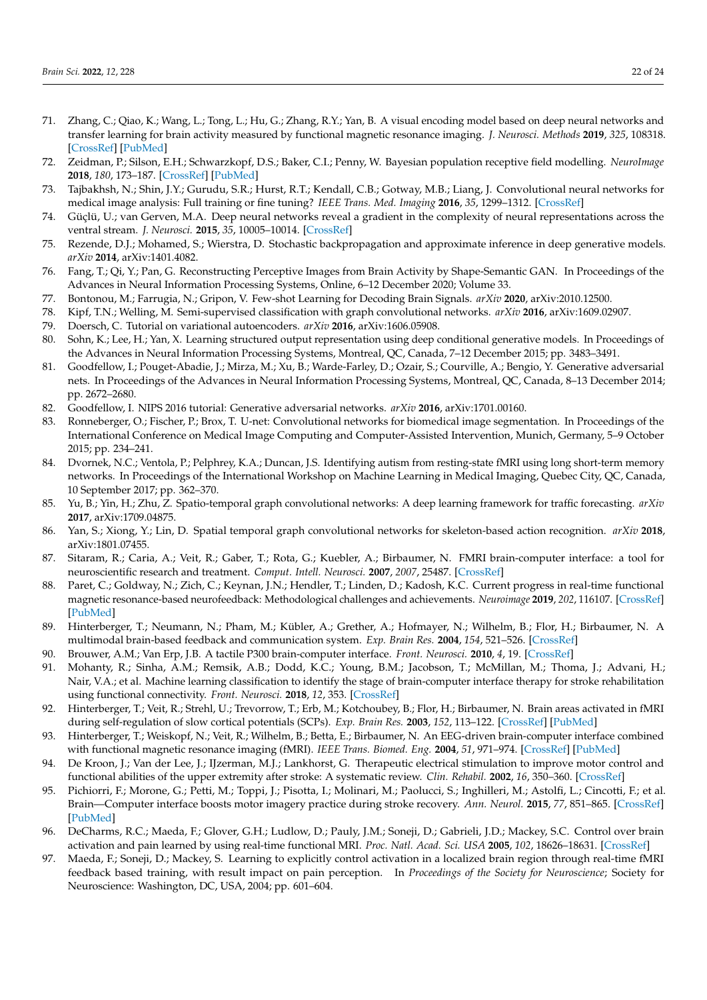- <span id="page-21-0"></span>71. Zhang, C.; Qiao, K.; Wang, L.; Tong, L.; Hu, G.; Zhang, R.Y.; Yan, B. A visual encoding model based on deep neural networks and transfer learning for brain activity measured by functional magnetic resonance imaging. *J. Neurosci. Methods* **2019**, *325*, 108318. [\[CrossRef\]](http://dx.doi.org/10.1016/j.jneumeth.2019.108318) [\[PubMed\]](http://www.ncbi.nlm.nih.gov/pubmed/31255596)
- <span id="page-21-1"></span>72. Zeidman, P.; Silson, E.H.; Schwarzkopf, D.S.; Baker, C.I.; Penny, W. Bayesian population receptive field modelling. *NeuroImage* **2018**, *180*, 173–187. [\[CrossRef\]](http://dx.doi.org/10.1016/j.neuroimage.2017.09.008) [\[PubMed\]](http://www.ncbi.nlm.nih.gov/pubmed/28890416)
- <span id="page-21-2"></span>73. Tajbakhsh, N.; Shin, J.Y.; Gurudu, S.R.; Hurst, R.T.; Kendall, C.B.; Gotway, M.B.; Liang, J. Convolutional neural networks for medical image analysis: Full training or fine tuning? *IEEE Trans. Med. Imaging* **2016**, *35*, 1299–1312. [\[CrossRef\]](http://dx.doi.org/10.1109/TMI.2016.2535302)
- <span id="page-21-3"></span>74. Güçlü, U.; van Gerven, M.A. Deep neural networks reveal a gradient in the complexity of neural representations across the ventral stream. *J. Neurosci.* **2015**, *35*, 10005–10014. [\[CrossRef\]](http://dx.doi.org/10.1523/JNEUROSCI.5023-14.2015)
- <span id="page-21-4"></span>75. Rezende, D.J.; Mohamed, S.; Wierstra, D. Stochastic backpropagation and approximate inference in deep generative models. *arXiv* **2014**, arXiv:1401.4082.
- <span id="page-21-5"></span>76. Fang, T.; Qi, Y.; Pan, G. Reconstructing Perceptive Images from Brain Activity by Shape-Semantic GAN. In Proceedings of the Advances in Neural Information Processing Systems, Online, 6–12 December 2020; Volume 33.
- <span id="page-21-6"></span>77. Bontonou, M.; Farrugia, N.; Gripon, V. Few-shot Learning for Decoding Brain Signals. *arXiv* **2020**, arXiv:2010.12500.
- <span id="page-21-7"></span>78. Kipf, T.N.; Welling, M. Semi-supervised classification with graph convolutional networks. *arXiv* **2016**, arXiv:1609.02907.
- <span id="page-21-8"></span>79. Doersch, C. Tutorial on variational autoencoders. *arXiv* **2016**, arXiv:1606.05908.
- <span id="page-21-9"></span>80. Sohn, K.; Lee, H.; Yan, X. Learning structured output representation using deep conditional generative models. In Proceedings of the Advances in Neural Information Processing Systems, Montreal, QC, Canada, 7–12 December 2015; pp. 3483–3491.
- <span id="page-21-10"></span>81. Goodfellow, I.; Pouget-Abadie, J.; Mirza, M.; Xu, B.; Warde-Farley, D.; Ozair, S.; Courville, A.; Bengio, Y. Generative adversarial nets. In Proceedings of the Advances in Neural Information Processing Systems, Montreal, QC, Canada, 8–13 December 2014; pp. 2672–2680.
- <span id="page-21-11"></span>82. Goodfellow, I. NIPS 2016 tutorial: Generative adversarial networks. *arXiv* **2016**, arXiv:1701.00160.
- <span id="page-21-12"></span>83. Ronneberger, O.; Fischer, P.; Brox, T. U-net: Convolutional networks for biomedical image segmentation. In Proceedings of the International Conference on Medical Image Computing and Computer-Assisted Intervention, Munich, Germany, 5–9 October 2015; pp. 234–241.
- <span id="page-21-13"></span>84. Dvornek, N.C.; Ventola, P.; Pelphrey, K.A.; Duncan, J.S. Identifying autism from resting-state fMRI using long short-term memory networks. In Proceedings of the International Workshop on Machine Learning in Medical Imaging, Quebec City, QC, Canada, 10 September 2017; pp. 362–370.
- <span id="page-21-14"></span>85. Yu, B.; Yin, H.; Zhu, Z. Spatio-temporal graph convolutional networks: A deep learning framework for traffic forecasting. *arXiv* **2017**, arXiv:1709.04875.
- <span id="page-21-15"></span>86. Yan, S.; Xiong, Y.; Lin, D. Spatial temporal graph convolutional networks for skeleton-based action recognition. *arXiv* **2018**, arXiv:1801.07455.
- <span id="page-21-16"></span>87. Sitaram, R.; Caria, A.; Veit, R.; Gaber, T.; Rota, G.; Kuebler, A.; Birbaumer, N. FMRI brain-computer interface: a tool for neuroscientific research and treatment. *Comput. Intell. Neurosci.* **2007**, *2007*, 25487. [\[CrossRef\]](http://dx.doi.org/10.1155/2007/25487)
- <span id="page-21-17"></span>88. Paret, C.; Goldway, N.; Zich, C.; Keynan, J.N.; Hendler, T.; Linden, D.; Kadosh, K.C. Current progress in real-time functional magnetic resonance-based neurofeedback: Methodological challenges and achievements. *Neuroimage* **2019**, *202*, 116107. [\[CrossRef\]](http://dx.doi.org/10.1016/j.neuroimage.2019.116107) [\[PubMed\]](http://www.ncbi.nlm.nih.gov/pubmed/31437551)
- <span id="page-21-18"></span>89. Hinterberger, T.; Neumann, N.; Pham, M.; Kübler, A.; Grether, A.; Hofmayer, N.; Wilhelm, B.; Flor, H.; Birbaumer, N. A multimodal brain-based feedback and communication system. *Exp. Brain Res.* **2004**, *154*, 521–526. [\[CrossRef\]](http://dx.doi.org/10.1007/s00221-003-1690-3)
- <span id="page-21-19"></span>90. Brouwer, A.M.; Van Erp, J.B. A tactile P300 brain-computer interface. *Front. Neurosci.* **2010**, *4*, 19. [\[CrossRef\]](http://dx.doi.org/10.3389/fnins.2010.00019)
- <span id="page-21-20"></span>91. Mohanty, R.; Sinha, A.M.; Remsik, A.B.; Dodd, K.C.; Young, B.M.; Jacobson, T.; McMillan, M.; Thoma, J.; Advani, H.; Nair, V.A.; et al. Machine learning classification to identify the stage of brain-computer interface therapy for stroke rehabilitation using functional connectivity. *Front. Neurosci.* **2018**, *12*, 353. [\[CrossRef\]](http://dx.doi.org/10.3389/fnins.2018.00353)
- <span id="page-21-21"></span>92. Hinterberger, T.; Veit, R.; Strehl, U.; Trevorrow, T.; Erb, M.; Kotchoubey, B.; Flor, H.; Birbaumer, N. Brain areas activated in fMRI during self-regulation of slow cortical potentials (SCPs). *Exp. Brain Res.* **2003**, *152*, 113–122. [\[CrossRef\]](http://dx.doi.org/10.1007/s00221-003-1515-4) [\[PubMed\]](http://www.ncbi.nlm.nih.gov/pubmed/12830347)
- <span id="page-21-22"></span>93. Hinterberger, T.; Weiskopf, N.; Veit, R.; Wilhelm, B.; Betta, E.; Birbaumer, N. An EEG-driven brain-computer interface combined with functional magnetic resonance imaging (fMRI). *IEEE Trans. Biomed. Eng.* **2004**, *51*, 971–974. [\[CrossRef\]](http://dx.doi.org/10.1109/TBME.2004.827069) [\[PubMed\]](http://www.ncbi.nlm.nih.gov/pubmed/15188866)
- <span id="page-21-23"></span>94. De Kroon, J.; Van der Lee, J.; IJzerman, M.J.; Lankhorst, G. Therapeutic electrical stimulation to improve motor control and functional abilities of the upper extremity after stroke: A systematic review. *Clin. Rehabil.* **2002**, *16*, 350–360. [\[CrossRef\]](http://dx.doi.org/10.1191/0269215502cr504oa)
- <span id="page-21-24"></span>95. Pichiorri, F.; Morone, G.; Petti, M.; Toppi, J.; Pisotta, I.; Molinari, M.; Paolucci, S.; Inghilleri, M.; Astolfi, L.; Cincotti, F.; et al. Brain—Computer interface boosts motor imagery practice during stroke recovery. *Ann. Neurol.* **2015**, *77*, 851–865. [\[CrossRef\]](http://dx.doi.org/10.1002/ana.24390) [\[PubMed\]](http://www.ncbi.nlm.nih.gov/pubmed/25712802)
- <span id="page-21-25"></span>96. DeCharms, R.C.; Maeda, F.; Glover, G.H.; Ludlow, D.; Pauly, J.M.; Soneji, D.; Gabrieli, J.D.; Mackey, S.C. Control over brain activation and pain learned by using real-time functional MRI. *Proc. Natl. Acad. Sci. USA* **2005**, *102*, 18626–18631. [\[CrossRef\]](http://dx.doi.org/10.1073/pnas.0505210102)
- <span id="page-21-26"></span>97. Maeda, F.; Soneji, D.; Mackey, S. Learning to explicitly control activation in a localized brain region through real-time fMRI feedback based training, with result impact on pain perception. In *Proceedings of the Society for Neuroscience*; Society for Neuroscience: Washington, DC, USA, 2004; pp. 601–604.